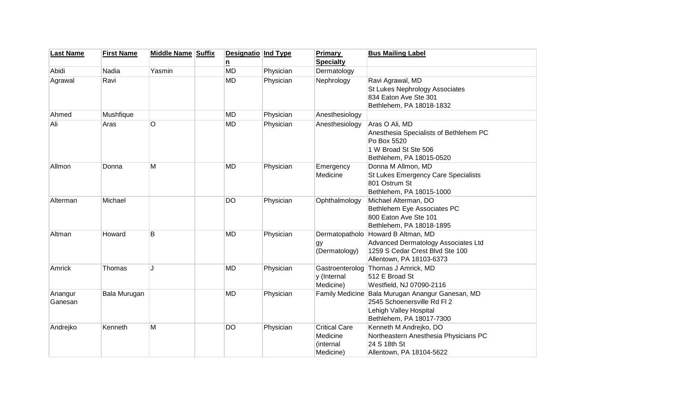| <b>Last Name</b> | <b>First Name</b> | <b>Middle Name Suffix</b> | <b>Designatio Ind Type</b> |           | <b>Primary</b>         | <b>Bus Mailing Label</b>               |
|------------------|-------------------|---------------------------|----------------------------|-----------|------------------------|----------------------------------------|
|                  |                   |                           | n                          |           | <b>Specialty</b>       |                                        |
| Abidi            | Nadia             | Yasmin                    | <b>MD</b>                  | Physician | Dermatology            |                                        |
| Agrawal          | Ravi              |                           | <b>MD</b>                  | Physician | Nephrology             | Ravi Agrawal, MD                       |
|                  |                   |                           |                            |           |                        | St Lukes Nephrology Associates         |
|                  |                   |                           |                            |           |                        | 834 Eaton Ave Ste 301                  |
|                  |                   |                           |                            |           |                        | Bethlehem, PA 18018-1832               |
| Ahmed            | Mushfique         |                           | <b>MD</b>                  | Physician | Anesthesiology         |                                        |
| Ali              | Aras              | O                         | <b>MD</b>                  | Physician | Anesthesiology         | Aras O Ali, MD                         |
|                  |                   |                           |                            |           |                        | Anesthesia Specialists of Bethlehem PC |
|                  |                   |                           |                            |           |                        | Po Box 5520                            |
|                  |                   |                           |                            |           |                        | 1 W Broad St Ste 506                   |
|                  |                   |                           |                            |           |                        | Bethlehem, PA 18015-0520               |
| Allmon           | Donna             | М                         | <b>MD</b>                  | Physician | Emergency              | Donna M Allmon, MD                     |
|                  |                   |                           |                            |           | Medicine               | St Lukes Emergency Care Specialists    |
|                  |                   |                           |                            |           |                        | 801 Ostrum St                          |
|                  |                   |                           |                            |           |                        | Bethlehem, PA 18015-1000               |
| Alterman         | Michael           |                           | <b>DO</b>                  | Physician | Ophthalmology          | Michael Alterman, DO                   |
|                  |                   |                           |                            |           |                        | Bethlehem Eye Associates PC            |
|                  |                   |                           |                            |           |                        | 800 Eaton Ave Ste 101                  |
|                  |                   |                           |                            |           |                        | Bethlehem, PA 18018-1895               |
| Altman           | Howard            | B                         | <b>MD</b>                  | Physician |                        | Dermatopatholo Howard B Altman, MD     |
|                  |                   |                           |                            |           | gy                     | Advanced Dermatology Associates Ltd    |
|                  |                   |                           |                            |           | (Dermatology)          | 1259 S Cedar Crest Blvd Ste 100        |
|                  |                   |                           |                            |           |                        | Allentown, PA 18103-6373               |
| Amrick           | Thomas            | J                         | <b>MD</b>                  | Physician |                        | Gastroenterolog Thomas J Amrick, MD    |
|                  |                   |                           |                            |           | y (Internal            | 512 E Broad St                         |
|                  |                   |                           |                            |           | Medicine)              | Westfield, NJ 07090-2116               |
| Anangur          | Bala Murugan      |                           | <b>MD</b>                  | Physician | <b>Family Medicine</b> | Bala Murugan Anangur Ganesan, MD       |
| Ganesan          |                   |                           |                            |           |                        | 2545 Schoenersville Rd Fl 2            |
|                  |                   |                           |                            |           |                        | Lehigh Valley Hospital                 |
|                  |                   |                           |                            |           |                        | Bethlehem, PA 18017-7300               |
| Andrejko         | Kenneth           | Μ                         | <b>DO</b>                  | Physician | <b>Critical Care</b>   | Kenneth M Andrejko, DO                 |
|                  |                   |                           |                            |           | Medicine               | Northeastern Anesthesia Physicians PC  |
|                  |                   |                           |                            |           | (internal              | 24 S 18th St                           |
|                  |                   |                           |                            |           | Medicine)              | Allentown, PA 18104-5622               |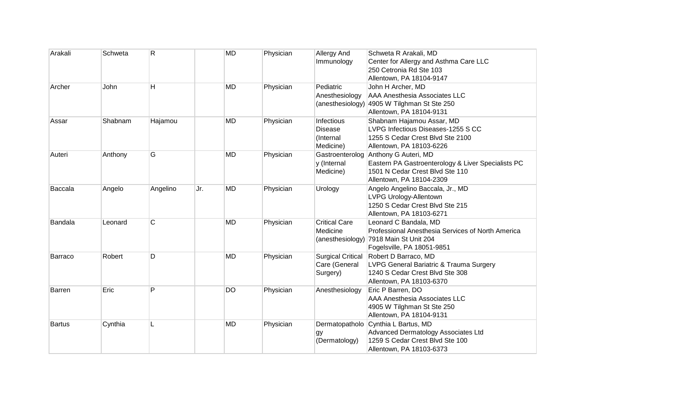| Arakali        | Schweta | R        |     | <b>MD</b> | Physician | <b>Allergy And</b><br>Immunology                       | Schweta R Arakali, MD<br>Center for Allergy and Asthma Care LLC<br>250 Cetronia Rd Ste 103<br>Allentown, PA 18104-9147                                    |
|----------------|---------|----------|-----|-----------|-----------|--------------------------------------------------------|-----------------------------------------------------------------------------------------------------------------------------------------------------------|
| Archer         | John    | H        |     | <b>MD</b> | Physician | Pediatric<br>Anesthesiology                            | John H Archer, MD<br><b>AAA Anesthesia Associates LLC</b><br>(anesthesiology) 4905 W Tilghman St Ste 250<br>Allentown, PA 18104-9131                      |
| Assar          | Shabnam | Hajamou  |     | <b>MD</b> | Physician | Infectious<br><b>Disease</b><br>(Internal<br>Medicine) | Shabnam Hajamou Assar, MD<br>LVPG Infectious Diseases-1255 S CC<br>1255 S Cedar Crest Blvd Ste 2100<br>Allentown, PA 18103-6226                           |
| Auteri         | Anthony | G        |     | <b>MD</b> | Physician | y (Internal<br>Medicine)                               | Gastroenterolog Anthony G Auteri, MD<br>Eastern PA Gastroenterology & Liver Specialists PC<br>1501 N Cedar Crest Blvd Ste 110<br>Allentown, PA 18104-2309 |
| Baccala        | Angelo  | Angelino | Jr. | <b>MD</b> | Physician | Urology                                                | Angelo Angelino Baccala, Jr., MD<br>LVPG Urology-Allentown<br>1250 S Cedar Crest Blvd Ste 215<br>Allentown, PA 18103-6271                                 |
| Bandala        | Leonard | C        |     | <b>MD</b> | Physician | <b>Critical Care</b><br>Medicine                       | Leonard C Bandala, MD<br>Professional Anesthesia Services of North America<br>(anesthesiology) 7918 Main St Unit 204<br>Fogelsville, PA 18051-9851        |
| <b>Barraco</b> | Robert  | D        |     | <b>MD</b> | Physician | <b>Surgical Critical</b><br>Care (General<br>Surgery)  | Robert D Barraco, MD<br>LVPG General Bariatric & Trauma Surgery<br>1240 S Cedar Crest Blvd Ste 308<br>Allentown, PA 18103-6370                            |
| Barren         | Eric    | P        |     | <b>DO</b> | Physician | Anesthesiology                                         | Eric P Barren, DO<br>AAA Anesthesia Associates LLC<br>4905 W Tilghman St Ste 250<br>Allentown, PA 18104-9131                                              |
| Bartus         | Cynthia | L        |     | <b>MD</b> | Physician | gy<br>(Dermatology)                                    | Dermatopatholo Cynthia L Bartus, MD<br>Advanced Dermatology Associates Ltd<br>1259 S Cedar Crest Blvd Ste 100<br>Allentown, PA 18103-6373                 |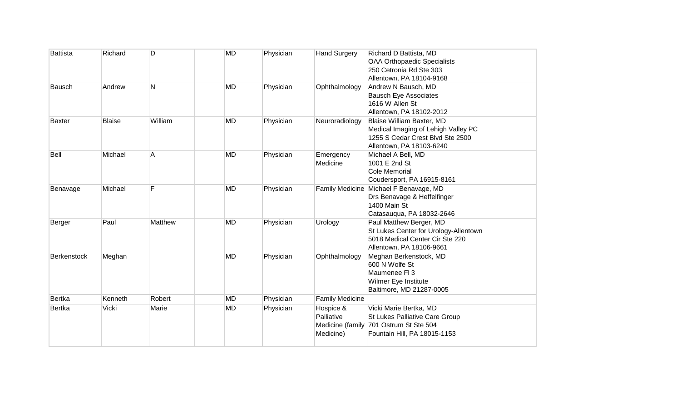| <b>Battista</b>    | Richard       | D       | <b>MD</b> | Physician | <b>Hand Surgery</b>                  | Richard D Battista, MD<br><b>OAA Orthopaedic Specialists</b><br>250 Cetronia Rd Ste 303<br>Allentown, PA 18104-9168                |
|--------------------|---------------|---------|-----------|-----------|--------------------------------------|------------------------------------------------------------------------------------------------------------------------------------|
| Bausch             | Andrew        | N       | <b>MD</b> | Physician | Ophthalmology                        | Andrew N Bausch, MD<br><b>Bausch Eye Associates</b><br>1616 W Allen St<br>Allentown, PA 18102-2012                                 |
| <b>Baxter</b>      | <b>Blaise</b> | William | <b>MD</b> | Physician | Neuroradiology                       | Blaise William Baxter, MD<br>Medical Imaging of Lehigh Valley PC<br>1255 S Cedar Crest Blvd Ste 2500<br>Allentown, PA 18103-6240   |
| Bell               | Michael       | A       | <b>MD</b> | Physician | Emergency<br>Medicine                | Michael A Bell, MD<br>1001 E 2nd St<br>Cole Memorial<br>Coudersport, PA 16915-8161                                                 |
| Benavage           | Michael       | F       | <b>MD</b> | Physician |                                      | Family Medicine Michael F Benavage, MD<br>Drs Benavage & Heffelfinger<br>1400 Main St<br>Catasauqua, PA 18032-2646                 |
| Berger             | Paul          | Matthew | <b>MD</b> | Physician | Urology                              | Paul Matthew Berger, MD<br>St Lukes Center for Urology-Allentown<br>5018 Medical Center Cir Ste 220<br>Allentown, PA 18106-9661    |
| <b>Berkenstock</b> | Meghan        |         | <b>MD</b> | Physician | Ophthalmology                        | Meghan Berkenstock, MD<br>600 N Wolfe St<br>Maumenee FI 3<br>Wilmer Eye Institute<br>Baltimore, MD 21287-0005                      |
| <b>Bertka</b>      | Kenneth       | Robert  | <b>MD</b> | Physician | <b>Family Medicine</b>               |                                                                                                                                    |
| <b>Bertka</b>      | Vicki         | Marie   | <b>MD</b> | Physician | Hospice &<br>Palliative<br>Medicine) | Vicki Marie Bertka, MD<br>St Lukes Palliative Care Group<br>Medicine (family 701 Ostrum St Ste 504<br>Fountain Hill, PA 18015-1153 |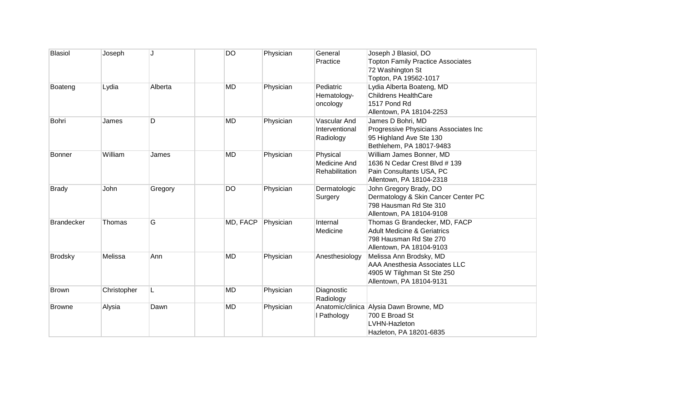| <b>Blasiol</b>    | Joseph      | J       | <b>DO</b> | Physician | General<br>Practice                         | Joseph J Blasiol, DO<br><b>Topton Family Practice Associates</b><br>72 Washington St<br>Topton, PA 19562-1017                 |
|-------------------|-------------|---------|-----------|-----------|---------------------------------------------|-------------------------------------------------------------------------------------------------------------------------------|
| Boateng           | Lydia       | Alberta | <b>MD</b> | Physician | Pediatric<br>Hematology-<br>oncology        | Lydia Alberta Boateng, MD<br><b>Childrens HealthCare</b><br>1517 Pond Rd<br>Allentown, PA 18104-2253                          |
| Bohri             | James       | D       | <b>MD</b> | Physician | Vascular And<br>Interventional<br>Radiology | James D Bohri, MD<br>Progressive Physicians Associates Inc<br>95 Highland Ave Ste 130<br>Bethlehem, PA 18017-9483             |
| <b>Bonner</b>     | William     | James   | <b>MD</b> | Physician | Physical<br>Medicine And<br>Rehabilitation  | William James Bonner, MD<br>1636 N Cedar Crest Blvd # 139<br>Pain Consultants USA, PC<br>Allentown, PA 18104-2318             |
| <b>Brady</b>      | John        | Gregory | <b>DO</b> | Physician | Dermatologic<br>Surgery                     | John Gregory Brady, DO<br>Dermatology & Skin Cancer Center PC<br>798 Hausman Rd Ste 310<br>Allentown, PA 18104-9108           |
| <b>Brandecker</b> | Thomas      | G       | MD, FACP  | Physician | Internal<br>Medicine                        | Thomas G Brandecker, MD, FACP<br><b>Adult Medicine &amp; Geriatrics</b><br>798 Hausman Rd Ste 270<br>Allentown, PA 18104-9103 |
| <b>Brodsky</b>    | Melissa     | Ann     | <b>MD</b> | Physician | Anesthesiology                              | Melissa Ann Brodsky, MD<br><b>AAA Anesthesia Associates LLC</b><br>4905 W Tilghman St Ste 250<br>Allentown, PA 18104-9131     |
| <b>Brown</b>      | Christopher | L       | <b>MD</b> | Physician | Diagnostic<br>Radiology                     |                                                                                                                               |
| <b>Browne</b>     | Alysia      | Dawn    | <b>MD</b> | Physician | I Pathology                                 | Anatomic/clinica Alysia Dawn Browne, MD<br>700 E Broad St<br>LVHN-Hazleton<br>Hazleton, PA 18201-6835                         |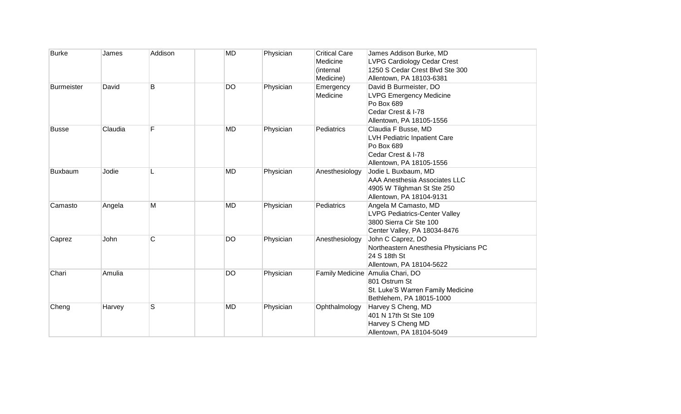| <b>Burke</b> | James   | Addison | <b>MD</b> | Physician | <b>Critical Care</b><br>Medicine<br>(internal<br>Medicine) | James Addison Burke, MD<br><b>LVPG Cardiology Cedar Crest</b><br>1250 S Cedar Crest Blvd Ste 300<br>Allentown, PA 18103-6381 |
|--------------|---------|---------|-----------|-----------|------------------------------------------------------------|------------------------------------------------------------------------------------------------------------------------------|
| Burmeister   | David   | B       | <b>DO</b> | Physician | Emergency<br>Medicine                                      | David B Burmeister, DO<br><b>LVPG Emergency Medicine</b><br>Po Box 689<br>Cedar Crest & I-78<br>Allentown, PA 18105-1556     |
| <b>Busse</b> | Claudia | F       | <b>MD</b> | Physician | Pediatrics                                                 | Claudia F Busse, MD<br><b>LVH Pediatric Inpatient Care</b><br>Po Box 689<br>Cedar Crest & I-78<br>Allentown, PA 18105-1556   |
| Buxbaum      | Jodie   |         | <b>MD</b> | Physician | Anesthesiology                                             | Jodie L Buxbaum, MD<br><b>AAA Anesthesia Associates LLC</b><br>4905 W Tilghman St Ste 250<br>Allentown, PA 18104-9131        |
| Camasto      | Angela  | M       | <b>MD</b> | Physician | Pediatrics                                                 | Angela M Camasto, MD<br><b>LVPG Pediatrics-Center Valley</b><br>3800 Sierra Cir Ste 100<br>Center Valley, PA 18034-8476      |
| Caprez       | John    | C       | DO        | Physician | Anesthesiology                                             | John C Caprez, DO<br>Northeastern Anesthesia Physicians PC<br>24 S 18th St<br>Allentown, PA 18104-5622                       |
| Chari        | Amulia  |         | <b>DO</b> | Physician |                                                            | Family Medicine Amulia Chari, DO<br>801 Ostrum St<br>St. Luke'S Warren Family Medicine<br>Bethlehem, PA 18015-1000           |
| Cheng        | Harvey  | S       | <b>MD</b> | Physician | Ophthalmology                                              | Harvey S Cheng, MD<br>401 N 17th St Ste 109<br>Harvey S Cheng MD<br>Allentown, PA 18104-5049                                 |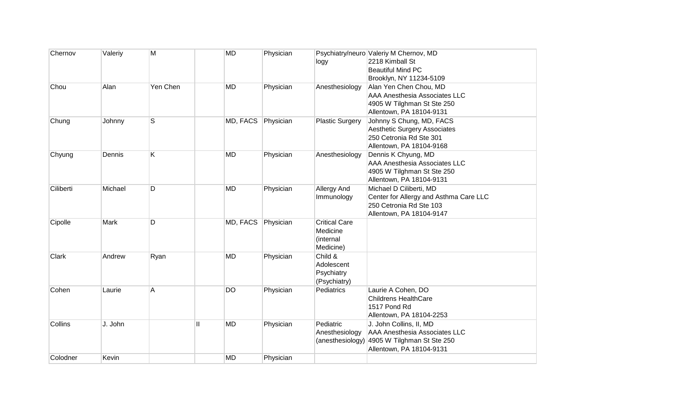| Chernov   | Valeriy | M        | <b>MD</b>      |          | Physician |                                    | Psychiatry/neuro Valeriy M Chernov, MD                      |
|-----------|---------|----------|----------------|----------|-----------|------------------------------------|-------------------------------------------------------------|
|           |         |          |                |          |           | logy                               | 2218 Kimball St                                             |
|           |         |          |                |          |           |                                    | <b>Beautiful Mind PC</b>                                    |
| Chou      | Alan    | Yen Chen | <b>MD</b>      |          | Physician | Anesthesiology                     | Brooklyn, NY 11234-5109<br>Alan Yen Chen Chou, MD           |
|           |         |          |                |          |           |                                    | <b>AAA Anesthesia Associates LLC</b>                        |
|           |         |          |                |          |           |                                    | 4905 W Tilghman St Ste 250                                  |
|           |         |          |                |          |           |                                    | Allentown, PA 18104-9131                                    |
| Chung     | Johnny  | S        |                | MD, FACS | Physician | <b>Plastic Surgery</b>             | Johnny S Chung, MD, FACS                                    |
|           |         |          |                |          |           |                                    | <b>Aesthetic Surgery Associates</b>                         |
|           |         |          |                |          |           |                                    | 250 Cetronia Rd Ste 301<br>Allentown, PA 18104-9168         |
| Chyung    | Dennis  | Κ        | <b>MD</b>      |          | Physician | Anesthesiology                     | Dennis K Chyung, MD                                         |
|           |         |          |                |          |           |                                    | <b>AAA Anesthesia Associates LLC</b>                        |
|           |         |          |                |          |           |                                    | 4905 W Tilghman St Ste 250                                  |
|           |         |          |                |          |           |                                    | Allentown, PA 18104-9131                                    |
| Ciliberti | Michael | D        | <b>MD</b>      |          | Physician | Allergy And                        | Michael D Ciliberti, MD                                     |
|           |         |          |                |          |           | Immunology                         | Center for Allergy and Asthma Care LLC                      |
|           |         |          |                |          |           |                                    | 250 Cetronia Rd Ste 103<br>Allentown, PA 18104-9147         |
| Cipolle   | Mark    | D        |                | MD, FACS | Physician | <b>Critical Care</b>               |                                                             |
|           |         |          |                |          |           | Medicine                           |                                                             |
|           |         |          |                |          |           | (internal                          |                                                             |
|           |         |          |                |          |           | Medicine)                          |                                                             |
| Clark     | Andrew  | Ryan     | <b>MD</b>      |          | Physician | Child &                            |                                                             |
|           |         |          |                |          |           | Adolescent                         |                                                             |
|           |         |          |                |          |           | Psychiatry<br>(Psychiatry)         |                                                             |
| Cohen     | Laurie  | A        | <b>DO</b>      |          | Physician | Pediatrics                         | Laurie A Cohen, DO                                          |
|           |         |          |                |          |           |                                    | <b>Childrens HealthCare</b>                                 |
|           |         |          |                |          |           |                                    | 1517 Pond Rd                                                |
|           |         |          |                |          |           |                                    | Allentown, PA 18104-2253                                    |
| Collins   | J. John |          | Ш<br><b>MD</b> |          | Physician | Pediatric                          | J. John Collins, II, MD                                     |
|           |         |          |                |          |           | Anesthesiology<br>(anesthesiology) | AAA Anesthesia Associates LLC<br>4905 W Tilghman St Ste 250 |
|           |         |          |                |          |           |                                    | Allentown, PA 18104-9131                                    |
| Colodner  | Kevin   |          | <b>MD</b>      |          | Physician |                                    |                                                             |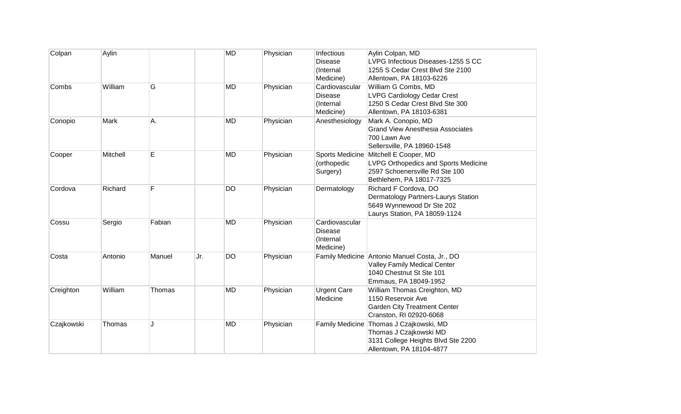| Colpan     | Aylin    |        |     | <b>MD</b> | Physician | Infectious<br><b>Disease</b><br>(Internal<br>Medicine)     | Aylin Colpan, MD<br>LVPG Infectious Diseases-1255 S CC<br>1255 S Cedar Crest Blvd Ste 2100<br>Allentown, PA 18103-6226                    |
|------------|----------|--------|-----|-----------|-----------|------------------------------------------------------------|-------------------------------------------------------------------------------------------------------------------------------------------|
| Combs      | William  | G      |     | <b>MD</b> | Physician | Cardiovascular<br><b>Disease</b><br>(Internal<br>Medicine) | William G Combs, MD<br><b>LVPG Cardiology Cedar Crest</b><br>1250 S Cedar Crest Blvd Ste 300<br>Allentown, PA 18103-6381                  |
| Conopio    | Mark     | Α.     |     | <b>MD</b> | Physician | Anesthesiology                                             | Mark A. Conopio, MD<br><b>Grand View Anesthesia Associates</b><br>700 Lawn Ave<br>Sellersville, PA 18960-1548                             |
| Cooper     | Mitchell | E      |     | <b>MD</b> | Physician | <b>Sports Medicine</b><br>(orthopedic<br>Surgery)          | Mitchell E Cooper, MD<br>LVPG Orthopedics and Sports Medicine<br>2597 Schoenersville Rd Ste 100<br>Bethlehem, PA 18017-7325               |
| Cordova    | Richard  | F      |     | <b>DO</b> | Physician | Dermatology                                                | Richard F Cordova, DO<br>Dermatology Partners-Laurys Station<br>5649 Wynnewood Dr Ste 202<br>Laurys Station, PA 18059-1124                |
| Cossu      | Sergio   | Fabian |     | <b>MD</b> | Physician | Cardiovascular<br><b>Disease</b><br>(Internal<br>Medicine) |                                                                                                                                           |
| Costa      | Antonio  | Manuel | Jr. | <b>DO</b> | Physician |                                                            | Family Medicine Antonio Manuel Costa, Jr., DO<br><b>Valley Family Medical Center</b><br>1040 Chestnut St Ste 101<br>Emmaus, PA 18049-1952 |
| Creighton  | William  | Thomas |     | <b>MD</b> | Physician | <b>Urgent Care</b><br>Medicine                             | William Thomas Creighton, MD<br>1150 Reservoir Ave<br><b>Garden City Treatment Center</b><br>Cranston, RI 02920-6068                      |
| Czajkowski | Thomas   | J.     |     | <b>MD</b> | Physician |                                                            | Family Medicine Thomas J Czajkowski, MD<br>Thomas J Czajkowski MD<br>3131 College Heights Blvd Ste 2200<br>Allentown, PA 18104-4877       |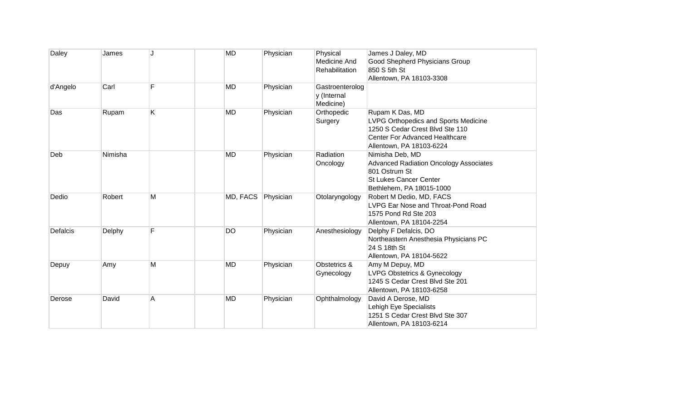| Daley    | James   |   | <b>MD</b> | Physician | Physical<br>Medicine And<br>Rehabilitation  | James J Daley, MD<br><b>Good Shepherd Physicians Group</b><br>850 S 5th St<br>Allentown, PA 18103-3308                                                          |
|----------|---------|---|-----------|-----------|---------------------------------------------|-----------------------------------------------------------------------------------------------------------------------------------------------------------------|
| d'Angelo | Carl    | F | <b>MD</b> | Physician | Gastroenterolog<br>y (Internal<br>Medicine) |                                                                                                                                                                 |
| Das      | Rupam   | K | <b>MD</b> | Physician | Orthopedic<br>Surgery                       | Rupam K Das, MD<br>LVPG Orthopedics and Sports Medicine<br>1250 S Cedar Crest Blvd Ste 110<br><b>Center For Advanced Healthcare</b><br>Allentown, PA 18103-6224 |
| Deb      | Nimisha |   | MD        | Physician | Radiation<br>Oncology                       | Nimisha Deb, MD<br><b>Advanced Radiation Oncology Associates</b><br>801 Ostrum St<br><b>St Lukes Cancer Center</b><br>Bethlehem, PA 18015-1000                  |
| Dedio    | Robert  | Μ | MD, FACS  | Physician | Otolaryngology                              | Robert M Dedio, MD, FACS<br>LVPG Ear Nose and Throat-Pond Road<br>1575 Pond Rd Ste 203<br>Allentown, PA 18104-2254                                              |
| Defalcis | Delphy  | F | <b>DO</b> | Physician | Anesthesiology                              | Delphy F Defalcis, DO<br>Northeastern Anesthesia Physicians PC<br>24 S 18th St<br>Allentown, PA 18104-5622                                                      |
| Depuy    | Amy     | M | <b>MD</b> | Physician | Obstetrics &<br>Gynecology                  | Amy M Depuy, MD<br><b>LVPG Obstetrics &amp; Gynecology</b><br>1245 S Cedar Crest Blvd Ste 201<br>Allentown, PA 18103-6258                                       |
| Derose   | David   | Α | <b>MD</b> | Physician | Ophthalmology                               | David A Derose, MD<br>Lehigh Eye Specialists<br>1251 S Cedar Crest Blvd Ste 307<br>Allentown, PA 18103-6214                                                     |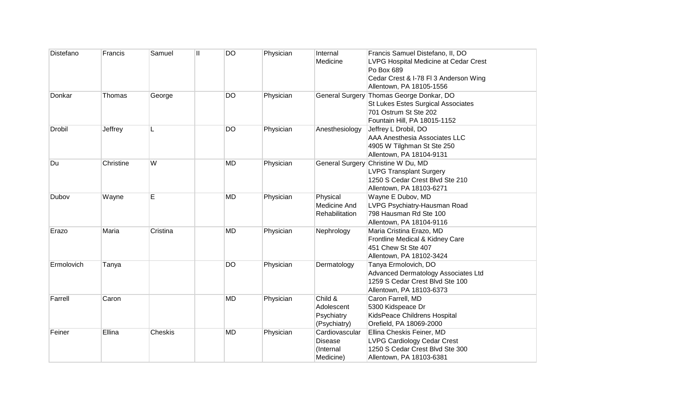| Distefano     | Francis   | Samuel         | Ш | <b>DO</b> | Physician | Internal<br>Medicine                                | Francis Samuel Distefano, II, DO<br>LVPG Hospital Medicine at Cedar Crest<br>Po Box 689<br>Cedar Crest & I-78 FI 3 Anderson Wing<br>Allentown, PA 18105-1556 |
|---------------|-----------|----------------|---|-----------|-----------|-----------------------------------------------------|--------------------------------------------------------------------------------------------------------------------------------------------------------------|
| Donkar        | Thomas    | George         |   | <b>DO</b> | Physician |                                                     | General Surgery Thomas George Donkar, DO<br>St Lukes Estes Surgical Associates<br>701 Ostrum St Ste 202<br>Fountain Hill, PA 18015-1152                      |
| <b>Drobil</b> | Jeffrey   | L              |   | <b>DO</b> | Physician | Anesthesiology                                      | Jeffrey L Drobil, DO<br>AAA Anesthesia Associates LLC<br>4905 W Tilghman St Ste 250<br>Allentown, PA 18104-9131                                              |
| Du            | Christine | W              |   | <b>MD</b> | Physician | <b>General Surgery</b>                              | Christine W Du, MD<br><b>LVPG Transplant Surgery</b><br>1250 S Cedar Crest Blvd Ste 210<br>Allentown, PA 18103-6271                                          |
| Dubov         | Wayne     | E              |   | <b>MD</b> | Physician | Physical<br>Medicine And<br>Rehabilitation          | Wayne E Dubov, MD<br>LVPG Psychiatry-Hausman Road<br>798 Hausman Rd Ste 100<br>Allentown, PA 18104-9116                                                      |
| Erazo         | Maria     | Cristina       |   | <b>MD</b> | Physician | Nephrology                                          | Maria Cristina Erazo, MD<br>Frontline Medical & Kidney Care<br>451 Chew St Ste 407<br>Allentown, PA 18102-3424                                               |
| Ermolovich    | Tanya     |                |   | <b>DO</b> | Physician | Dermatology                                         | Tanya Ermolovich, DO<br>Advanced Dermatology Associates Ltd<br>1259 S Cedar Crest Blvd Ste 100<br>Allentown, PA 18103-6373                                   |
| Farrell       | Caron     |                |   | <b>MD</b> | Physician | Child &<br>Adolescent<br>Psychiatry<br>(Psychiatry) | Caron Farrell, MD<br>5300 Kidspeace Dr<br>KidsPeace Childrens Hospital<br>Orefield, PA 18069-2000                                                            |
| Feiner        | Ellina    | <b>Cheskis</b> |   | <b>MD</b> | Physician | Cardiovascular<br>Disease<br>(Internal<br>Medicine) | Ellina Cheskis Feiner, MD<br><b>LVPG Cardiology Cedar Crest</b><br>1250 S Cedar Crest Blvd Ste 300<br>Allentown, PA 18103-6381                               |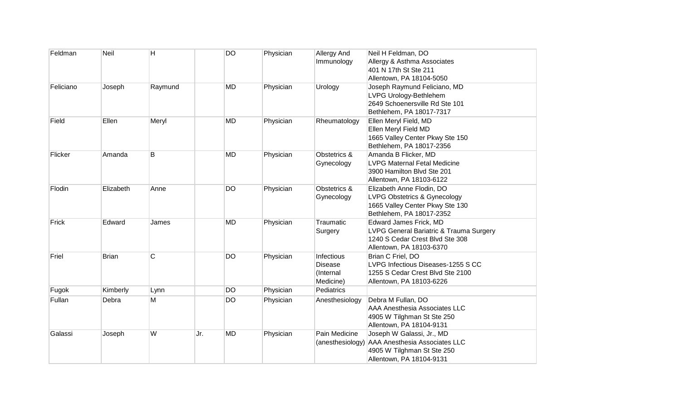| Feldman   | Neil         | H       |     | <b>DO</b> | Physician | Allergy And<br>Immunology                              | Neil H Feldman, DO<br>Allergy & Asthma Associates<br>401 N 17th St Ste 211                                                              |
|-----------|--------------|---------|-----|-----------|-----------|--------------------------------------------------------|-----------------------------------------------------------------------------------------------------------------------------------------|
|           |              |         |     |           |           |                                                        | Allentown, PA 18104-5050                                                                                                                |
| Feliciano | Joseph       | Raymund |     | <b>MD</b> | Physician | Urology                                                | Joseph Raymund Feliciano, MD<br>LVPG Urology-Bethlehem<br>2649 Schoenersville Rd Ste 101<br>Bethlehem, PA 18017-7317                    |
| Field     | Ellen        | Meryl   |     | <b>MD</b> | Physician | Rheumatology                                           | Ellen Meryl Field, MD<br>Ellen Meryl Field MD<br>1665 Valley Center Pkwy Ste 150<br>Bethlehem, PA 18017-2356                            |
| Flicker   | Amanda       | Β       |     | <b>MD</b> | Physician | Obstetrics &<br>Gynecology                             | Amanda B Flicker, MD<br><b>LVPG Maternal Fetal Medicine</b><br>3900 Hamilton Blvd Ste 201<br>Allentown, PA 18103-6122                   |
| Flodin    | Elizabeth    | Anne    |     | <b>DO</b> | Physician | Obstetrics &<br>Gynecology                             | Elizabeth Anne Flodin, DO<br><b>LVPG Obstetrics &amp; Gynecology</b><br>1665 Valley Center Pkwy Ste 130<br>Bethlehem, PA 18017-2352     |
| Frick     | Edward       | James   |     | <b>MD</b> | Physician | Traumatic<br>Surgery                                   | <b>Edward James Frick, MD</b><br>LVPG General Bariatric & Trauma Surgery<br>1240 S Cedar Crest Blvd Ste 308<br>Allentown, PA 18103-6370 |
| Friel     | <b>Brian</b> | C       |     | <b>DO</b> | Physician | Infectious<br><b>Disease</b><br>(Internal<br>Medicine) | Brian C Friel, DO<br>LVPG Infectious Diseases-1255 S CC<br>1255 S Cedar Crest Blvd Ste 2100<br>Allentown, PA 18103-6226                 |
| Fugok     | Kimberly     | Lynn    |     | <b>DO</b> | Physician | Pediatrics                                             |                                                                                                                                         |
| Fullan    | Debra        | M       |     | DO        | Physician | Anesthesiology                                         | Debra M Fullan, DO<br>AAA Anesthesia Associates LLC<br>4905 W Tilghman St Ste 250<br>Allentown, PA 18104-9131                           |
| Galassi   | Joseph       | W       | Jr. | <b>MD</b> | Physician | Pain Medicine                                          | Joseph W Galassi, Jr., MD<br>(anesthesiology) AAA Anesthesia Associates LLC<br>4905 W Tilghman St Ste 250<br>Allentown, PA 18104-9131   |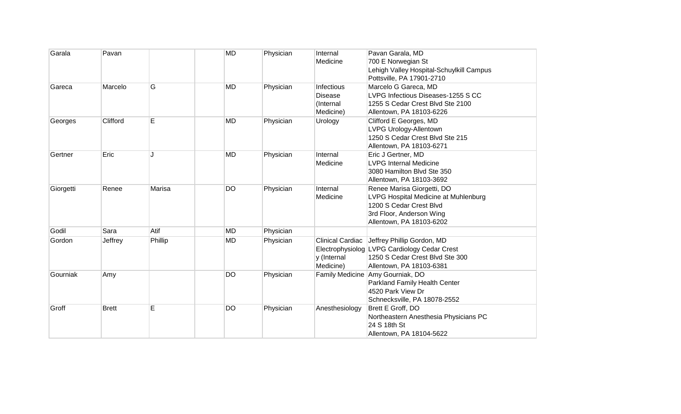| Garala    | Pavan        |         | <b>MD</b> | Physician | Internal<br>Medicine                                          | Pavan Garala, MD<br>700 E Norwegian St<br>Lehigh Valley Hospital-Schuylkill Campus<br>Pottsville, PA 17901-2710                                            |
|-----------|--------------|---------|-----------|-----------|---------------------------------------------------------------|------------------------------------------------------------------------------------------------------------------------------------------------------------|
| Gareca    | Marcelo      | G       | <b>MD</b> | Physician | <b>Infectious</b><br><b>Disease</b><br>(Internal<br>Medicine) | Marcelo G Gareca, MD<br>LVPG Infectious Diseases-1255 S CC<br>1255 S Cedar Crest Blvd Ste 2100<br>Allentown, PA 18103-6226                                 |
| Georges   | Clifford     | E       | <b>MD</b> | Physician | Urology                                                       | Clifford E Georges, MD<br>LVPG Urology-Allentown<br>1250 S Cedar Crest Blvd Ste 215<br>Allentown, PA 18103-6271                                            |
| Gertner   | Eric         | J.      | <b>MD</b> | Physician | Internal<br>Medicine                                          | Eric J Gertner, MD<br><b>LVPG Internal Medicine</b><br>3080 Hamilton Blvd Ste 350<br>Allentown, PA 18103-3692                                              |
| Giorgetti | Renee        | Marisa  | DO        | Physician | Internal<br>Medicine                                          | Renee Marisa Giorgetti, DO<br>LVPG Hospital Medicine at Muhlenburg<br>1200 S Cedar Crest Blvd<br>3rd Floor, Anderson Wing<br>Allentown, PA 18103-6202      |
| Godil     | Sara         | Atif    | <b>MD</b> | Physician |                                                               |                                                                                                                                                            |
| Gordon    | Jeffrey      | Phillip | <b>MD</b> | Physician | y (Internal<br>Medicine)                                      | Clinical Cardiac Jeffrey Phillip Gordon, MD<br>Electrophysiolog LVPG Cardiology Cedar Crest<br>1250 S Cedar Crest Blvd Ste 300<br>Allentown, PA 18103-6381 |
| Gourniak  | Amy          |         | DO        | Physician |                                                               | Family Medicine Amy Gourniak, DO<br>Parkland Family Health Center<br>4520 Park View Dr<br>Schnecksville, PA 18078-2552                                     |
| Groff     | <b>Brett</b> | E       | DO        | Physician | Anesthesiology                                                | Brett E Groff, DO<br>Northeastern Anesthesia Physicians PC<br>24 S 18th St<br>Allentown, PA 18104-5622                                                     |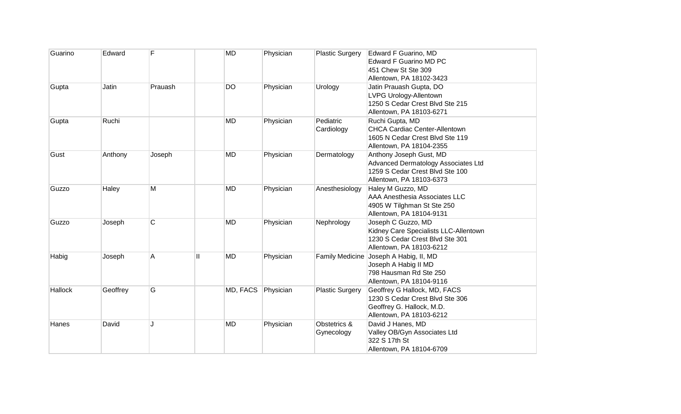| Guarino | Edward   | F       | <b>MD</b>                 | Physician | <b>Plastic Surgery</b>     | Edward F Guarino, MD<br><b>Edward F Guarino MD PC</b><br>451 Chew St Ste 309<br>Allentown, PA 18102-3423                      |
|---------|----------|---------|---------------------------|-----------|----------------------------|-------------------------------------------------------------------------------------------------------------------------------|
| Gupta   | Jatin    | Prauash | <b>DO</b>                 | Physician | Urology                    | Jatin Prauash Gupta, DO<br>LVPG Urology-Allentown<br>1250 S Cedar Crest Blvd Ste 215<br>Allentown, PA 18103-6271              |
| Gupta   | Ruchi    |         | <b>MD</b>                 | Physician | Pediatric<br>Cardiology    | Ruchi Gupta, MD<br><b>CHCA Cardiac Center-Allentown</b><br>1605 N Cedar Crest Blvd Ste 119<br>Allentown, PA 18104-2355        |
| Gust    | Anthony  | Joseph  | <b>MD</b>                 | Physician | Dermatology                | Anthony Joseph Gust, MD<br>Advanced Dermatology Associates Ltd<br>1259 S Cedar Crest Blvd Ste 100<br>Allentown, PA 18103-6373 |
| Guzzo   | Haley    | M       | <b>MD</b>                 | Physician | Anesthesiology             | Haley M Guzzo, MD<br>AAA Anesthesia Associates LLC<br>4905 W Tilghman St Ste 250<br>Allentown, PA 18104-9131                  |
| Guzzo   | Joseph   | C       | <b>MD</b>                 | Physician | Nephrology                 | Joseph C Guzzo, MD<br>Kidney Care Specialists LLC-Allentown<br>1230 S Cedar Crest Blvd Ste 301<br>Allentown, PA 18103-6212    |
| Habig   | Joseph   | A       | $\mathbf{I}$<br><b>MD</b> | Physician |                            | Family Medicine Joseph A Habig, II, MD<br>Joseph A Habig II MD<br>798 Hausman Rd Ste 250<br>Allentown, PA 18104-9116          |
| Hallock | Geoffrey | G       | MD, FACS                  | Physician | <b>Plastic Surgery</b>     | Geoffrey G Hallock, MD, FACS<br>1230 S Cedar Crest Blvd Ste 306<br>Geoffrey G. Hallock, M.D.<br>Allentown, PA 18103-6212      |
| Hanes   | David    | J       | <b>MD</b>                 | Physician | Obstetrics &<br>Gynecology | David J Hanes, MD<br>Valley OB/Gyn Associates Ltd<br>322 S 17th St<br>Allentown, PA 18104-6709                                |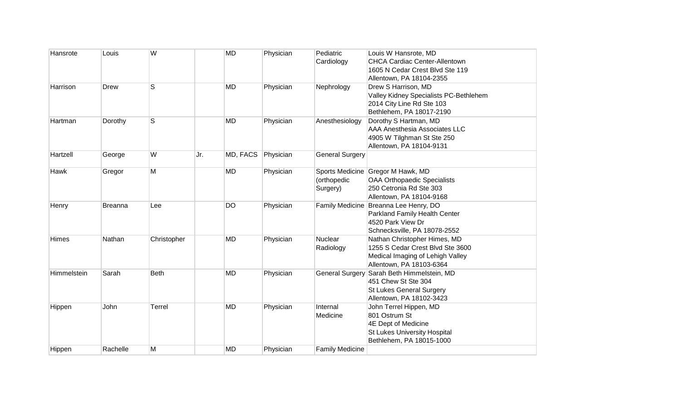| Hansrote    | Louis          | W           |     | <b>MD</b> | Physician | Pediatric<br>Cardiology     | Louis W Hansrote, MD<br><b>CHCA Cardiac Center-Allentown</b><br>1605 N Cedar Crest Blvd Ste 119<br>Allentown, PA 18104-2355       |
|-------------|----------------|-------------|-----|-----------|-----------|-----------------------------|-----------------------------------------------------------------------------------------------------------------------------------|
| Harrison    | Drew           | S           |     | <b>MD</b> | Physician | Nephrology                  | Drew S Harrison, MD<br>Valley Kidney Specialists PC-Bethlehem<br>2014 City Line Rd Ste 103<br>Bethlehem, PA 18017-2190            |
| Hartman     | Dorothy        | S           |     | <b>MD</b> | Physician | Anesthesiology              | Dorothy S Hartman, MD<br>AAA Anesthesia Associates LLC<br>4905 W Tilghman St Ste 250<br>Allentown, PA 18104-9131                  |
| Hartzell    | George         | W           | Jr. | MD, FACS  | Physician | <b>General Surgery</b>      |                                                                                                                                   |
| Hawk        | Gregor         | M           |     | <b>MD</b> | Physician | (orthopedic<br>Surgery)     | Sports Medicine Gregor M Hawk, MD<br><b>OAA Orthopaedic Specialists</b><br>250 Cetronia Rd Ste 303<br>Allentown, PA 18104-9168    |
| Henry       | <b>Breanna</b> | Lee         |     | <b>DO</b> | Physician |                             | Family Medicine Breanna Lee Henry, DO<br>Parkland Family Health Center<br>4520 Park View Dr<br>Schnecksville, PA 18078-2552       |
| Himes       | Nathan         | Christopher |     | <b>MD</b> | Physician | <b>Nuclear</b><br>Radiology | Nathan Christopher Himes, MD<br>1255 S Cedar Crest Blvd Ste 3600<br>Medical Imaging of Lehigh Valley<br>Allentown, PA 18103-6364  |
| Himmelstein | Sarah          | <b>Beth</b> |     | <b>MD</b> | Physician | <b>General Surgery</b>      | Sarah Beth Himmelstein, MD<br>451 Chew St Ste 304<br><b>St Lukes General Surgery</b><br>Allentown, PA 18102-3423                  |
| Hippen      | John           | Terrel      |     | <b>MD</b> | Physician | Internal<br>Medicine        | John Terrel Hippen, MD<br>801 Ostrum St<br>4E Dept of Medicine<br><b>St Lukes University Hospital</b><br>Bethlehem, PA 18015-1000 |
| Hippen      | Rachelle       | M           |     | <b>MD</b> | Physician | <b>Family Medicine</b>      |                                                                                                                                   |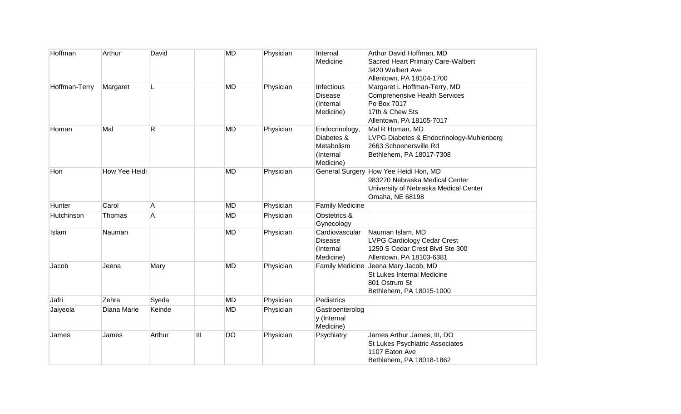| Hoffman       | Arthur        | David  |   | <b>MD</b> | Physician | Internal                     | Arthur David Hoffman, MD                    |
|---------------|---------------|--------|---|-----------|-----------|------------------------------|---------------------------------------------|
|               |               |        |   |           |           | Medicine                     | Sacred Heart Primary Care-Walbert           |
|               |               |        |   |           |           |                              | 3420 Walbert Ave                            |
|               |               |        |   |           |           |                              | Allentown, PA 18104-1700                    |
| Hoffman-Terry | Margaret      | L      |   | <b>MD</b> | Physician | Infectious                   | Margaret L Hoffman-Terry, MD                |
|               |               |        |   |           |           | <b>Disease</b>               | <b>Comprehensive Health Services</b>        |
|               |               |        |   |           |           | (Internal                    | Po Box 7017                                 |
|               |               |        |   |           |           | Medicine)                    | 17th & Chew Sts<br>Allentown, PA 18105-7017 |
|               | Mal           |        |   | <b>MD</b> |           |                              | Mal R Homan, MD                             |
| Homan         |               | R      |   |           | Physician | Endocrinology,<br>Diabetes & | LVPG Diabetes & Endocrinology-Muhlenberg    |
|               |               |        |   |           |           | Metabolism                   | 2663 Schoenersville Rd                      |
|               |               |        |   |           |           | (Internal                    | Bethlehem, PA 18017-7308                    |
|               |               |        |   |           |           | Medicine)                    |                                             |
| Hon           | How Yee Heidi |        |   | <b>MD</b> | Physician |                              | General Surgery How Yee Heidi Hon, MD       |
|               |               |        |   |           |           |                              | 983270 Nebraska Medical Center              |
|               |               |        |   |           |           |                              | University of Nebraska Medical Center       |
|               |               |        |   |           |           |                              | Omaha, NE 68198                             |
| Hunter        | Carol         | A      |   | <b>MD</b> | Physician | <b>Family Medicine</b>       |                                             |
| Hutchinson    | Thomas        | Α      |   | <b>MD</b> | Physician | Obstetrics &                 |                                             |
|               |               |        |   |           |           | Gynecology                   |                                             |
| Islam         | Nauman        |        |   | <b>MD</b> | Physician | Cardiovascular               | Nauman Islam, MD                            |
|               |               |        |   |           |           | <b>Disease</b>               | <b>LVPG Cardiology Cedar Crest</b>          |
|               |               |        |   |           |           | (Internal                    | 1250 S Cedar Crest Blvd Ste 300             |
|               |               |        |   |           |           | Medicine)                    | Allentown, PA 18103-6381                    |
| Jacob         | Jeena         | Mary   |   | <b>MD</b> | Physician |                              | Family Medicine Jeena Mary Jacob, MD        |
|               |               |        |   |           |           |                              | St Lukes Internal Medicine                  |
|               |               |        |   |           |           |                              | 801 Ostrum St                               |
|               |               |        |   |           |           |                              | Bethlehem, PA 18015-1000                    |
| Jafri         | Zehra         | Syeda  |   | <b>MD</b> | Physician | Pediatrics                   |                                             |
| Jaiyeola      | Diana Marie   | Keinde |   | <b>MD</b> | Physician | Gastroenterolog              |                                             |
|               |               |        |   |           |           | y (Internal                  |                                             |
|               |               |        |   |           |           | Medicine)                    |                                             |
| James         | James         | Arthur | Ш | <b>DO</b> | Physician | Psychiatry                   | James Arthur James, III, DO                 |
|               |               |        |   |           |           |                              | St Lukes Psychiatric Associates             |
|               |               |        |   |           |           |                              | 1107 Eaton Ave                              |
|               |               |        |   |           |           |                              | Bethlehem, PA 18018-1862                    |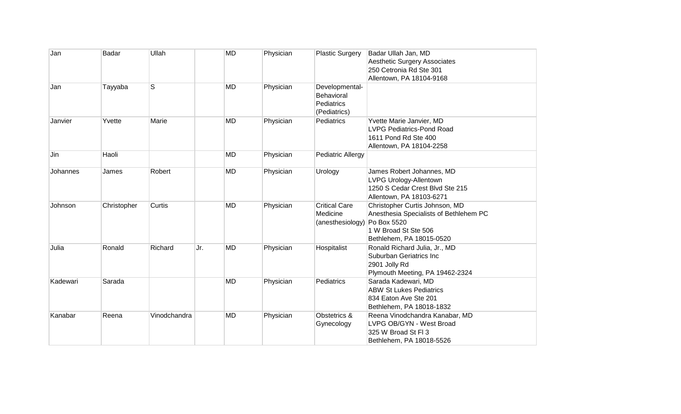| Jan      | Badar       | Ullah        |     | <b>MD</b> | Physician | <b>Plastic Surgery</b>                                     | Badar Ullah Jan, MD<br><b>Aesthetic Surgery Associates</b><br>250 Cetronia Rd Ste 301<br>Allentown, PA 18104-9168                           |
|----------|-------------|--------------|-----|-----------|-----------|------------------------------------------------------------|---------------------------------------------------------------------------------------------------------------------------------------------|
| Jan      | Tayyaba     | S            |     | <b>MD</b> | Physician | Developmental-<br>Behavioral<br>Pediatrics<br>(Pediatrics) |                                                                                                                                             |
| Janvier  | Yvette      | Marie        |     | <b>MD</b> | Physician | <b>Pediatrics</b>                                          | Yvette Marie Janvier, MD<br><b>LVPG Pediatrics-Pond Road</b><br>1611 Pond Rd Ste 400<br>Allentown, PA 18104-2258                            |
| Jin      | Haoli       |              |     | <b>MD</b> | Physician | <b>Pediatric Allergy</b>                                   |                                                                                                                                             |
| Johannes | James       | Robert       |     | <b>MD</b> | Physician | Urology                                                    | James Robert Johannes, MD<br><b>LVPG Urology-Allentown</b><br>1250 S Cedar Crest Blvd Ste 215<br>Allentown, PA 18103-6271                   |
| Johnson  | Christopher | Curtis       |     | <b>MD</b> | Physician | <b>Critical Care</b><br>Medicine<br>(anesthesiology)       | Christopher Curtis Johnson, MD<br>Anesthesia Specialists of Bethlehem PC<br>Po Box 5520<br>1 W Broad St Ste 506<br>Bethlehem, PA 18015-0520 |
| Julia    | Ronald      | Richard      | Jr. | MD        | Physician | Hospitalist                                                | Ronald Richard Julia, Jr., MD<br>Suburban Geriatrics Inc<br>2901 Jolly Rd<br>Plymouth Meeting, PA 19462-2324                                |
| Kadewari | Sarada      |              |     | <b>MD</b> | Physician | <b>Pediatrics</b>                                          | Sarada Kadewari, MD<br><b>ABW St Lukes Pediatrics</b><br>834 Eaton Ave Ste 201<br>Bethlehem, PA 18018-1832                                  |
| Kanabar  | Reena       | Vinodchandra |     | <b>MD</b> | Physician | Obstetrics &<br>Gynecology                                 | Reena Vinodchandra Kanabar, MD<br>LVPG OB/GYN - West Broad<br>325 W Broad St FI 3<br>Bethlehem, PA 18018-5526                               |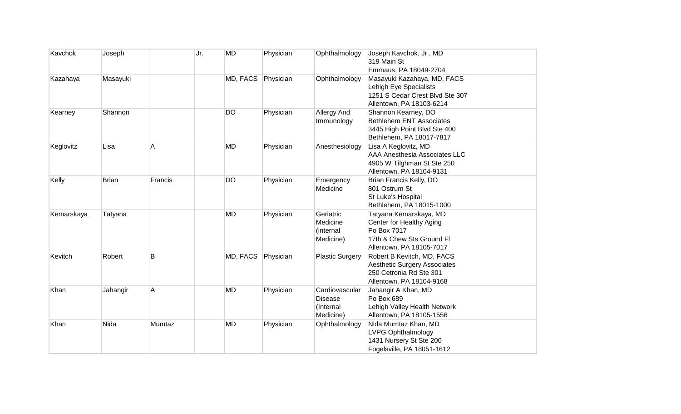| Kavchok    | Joseph       |         | Jr. | MD        | Physician | Ophthalmology                                              | Joseph Kavchok, Jr., MD<br>319 Main St<br>Emmaus, PA 18049-2704                                                            |
|------------|--------------|---------|-----|-----------|-----------|------------------------------------------------------------|----------------------------------------------------------------------------------------------------------------------------|
| Kazahaya   | Masayuki     |         |     | MD, FACS  | Physician | Ophthalmology                                              | Masayuki Kazahaya, MD, FACS<br>Lehigh Eye Specialists<br>1251 S Cedar Crest Blvd Ste 307<br>Allentown, PA 18103-6214       |
| Kearney    | Shannon      |         |     | <b>DO</b> | Physician | Allergy And<br>Immunology                                  | Shannon Kearney, DO<br><b>Bethlehem ENT Associates</b><br>3445 High Point Blvd Ste 400<br>Bethlehem, PA 18017-7817         |
| Keglovitz  | Lisa         | Α       |     | <b>MD</b> | Physician | Anesthesiology                                             | Lisa A Keglovitz, MD<br>AAA Anesthesia Associates LLC<br>4905 W Tilghman St Ste 250<br>Allentown, PA 18104-9131            |
| Kelly      | <b>Brian</b> | Francis |     | <b>DO</b> | Physician | Emergency<br>Medicine                                      | Brian Francis Kelly, DO<br>801 Ostrum St<br>St Luke's Hospital<br>Bethlehem, PA 18015-1000                                 |
| Kemarskaya | Tatyana      |         |     | <b>MD</b> | Physician | Geriatric<br>Medicine<br>(internal<br>Medicine)            | Tatyana Kemarskaya, MD<br>Center for Healthy Aging<br>Po Box 7017<br>17th & Chew Sts Ground Fl<br>Allentown, PA 18105-7017 |
| Kevitch    | Robert       | B       |     | MD, FACS  | Physician | <b>Plastic Surgery</b>                                     | Robert B Kevitch, MD, FACS<br><b>Aesthetic Surgery Associates</b><br>250 Cetronia Rd Ste 301<br>Allentown, PA 18104-9168   |
| Khan       | Jahangir     | Α       |     | <b>MD</b> | Physician | Cardiovascular<br><b>Disease</b><br>(Internal<br>Medicine) | Jahangir A Khan, MD<br>Po Box 689<br>Lehigh Valley Health Network<br>Allentown, PA 18105-1556                              |
| Khan       | Nida         | Mumtaz  |     | <b>MD</b> | Physician | Ophthalmology                                              | Nida Mumtaz Khan, MD<br><b>LVPG Ophthalmology</b><br>1431 Nursery St Ste 200<br>Fogelsville, PA 18051-1612                 |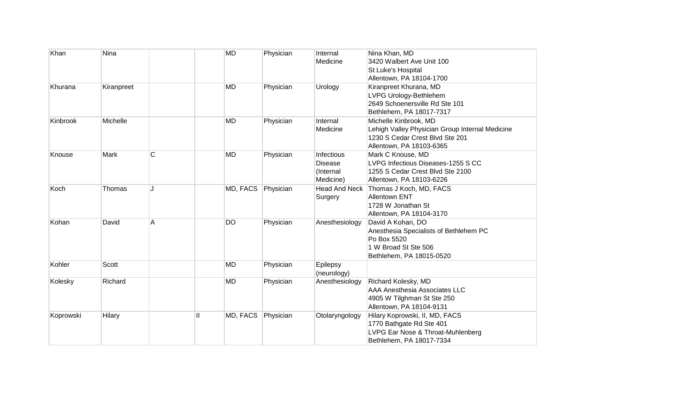| Khan      | Nina       |              | <b>MD</b>    |          | Physician | Internal<br>Medicine                                   | Nina Khan, MD<br>3420 Walbert Ave Unit 100                                                                                              |
|-----------|------------|--------------|--------------|----------|-----------|--------------------------------------------------------|-----------------------------------------------------------------------------------------------------------------------------------------|
|           |            |              |              |          |           |                                                        | St Luke's Hospital<br>Allentown, PA 18104-1700                                                                                          |
| Khurana   | Kiranpreet |              | <b>MD</b>    |          | Physician | Urology                                                | Kiranpreet Khurana, MD<br>LVPG Urology-Bethlehem<br>2649 Schoenersville Rd Ste 101<br>Bethlehem, PA 18017-7317                          |
| Kinbrook  | Michelle   |              | <b>MD</b>    |          | Physician | Internal<br>Medicine                                   | Michelle Kinbrook, MD<br>Lehigh Valley Physician Group Internal Medicine<br>1230 S Cedar Crest Blvd Ste 201<br>Allentown, PA 18103-6365 |
| Knouse    | Mark       | $\mathsf{C}$ | <b>MD</b>    |          | Physician | Infectious<br><b>Disease</b><br>(Internal<br>Medicine) | Mark C Knouse, MD<br>LVPG Infectious Diseases-1255 S CC<br>1255 S Cedar Crest Blvd Ste 2100<br>Allentown, PA 18103-6226                 |
| Koch      | Thomas     | J            |              | MD, FACS | Physician | Head And Neck<br>Surgery                               | Thomas J Koch, MD, FACS<br><b>Allentown ENT</b><br>1728 W Jonathan St<br>Allentown, PA 18104-3170                                       |
| Kohan     | David      | Α            | <b>DO</b>    |          | Physician | Anesthesiology                                         | David A Kohan, DO<br>Anesthesia Specialists of Bethlehem PC<br>Po Box 5520<br>1 W Broad St Ste 506<br>Bethlehem, PA 18015-0520          |
| Kohler    | Scott      |              | <b>MD</b>    |          | Physician | Epilepsy<br>(neurology)                                |                                                                                                                                         |
| Kolesky   | Richard    |              | <b>MD</b>    |          | Physician | Anesthesiology                                         | Richard Kolesky, MD<br>AAA Anesthesia Associates LLC<br>4905 W Tilghman St Ste 250<br>Allentown, PA 18104-9131                          |
| Koprowski | Hilary     |              | $\mathbf{H}$ | MD, FACS | Physician | Otolaryngology                                         | Hilary Koprowski, II, MD, FACS<br>1770 Bathgate Rd Ste 401<br>LVPG Ear Nose & Throat-Muhlenberg<br>Bethlehem, PA 18017-7334             |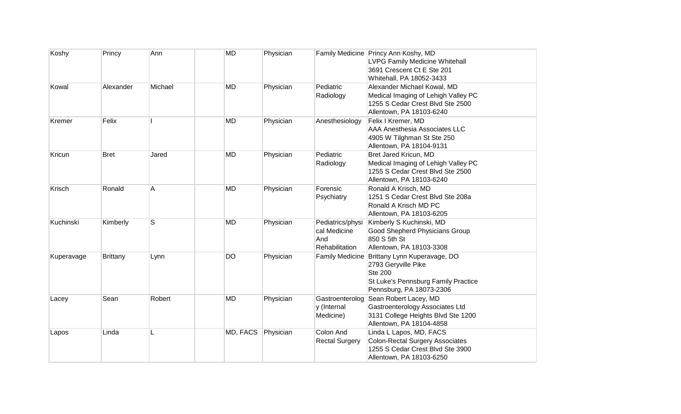| Koshy      | Princy          | Ann         | <b>MD</b>          | Physician |                                                           | Family Medicine Princy Ann Koshy, MD<br><b>LVPG Family Medicine Whitehall</b><br>3691 Crescent Ct E Ste 201                                                    |
|------------|-----------------|-------------|--------------------|-----------|-----------------------------------------------------------|----------------------------------------------------------------------------------------------------------------------------------------------------------------|
| Kowal      | Alexander       | Michael     | <b>MD</b>          | Physician | Pediatric<br>Radiology                                    | Whitehall, PA 18052-3433<br>Alexander Michael Kowal, MD<br>Medical Imaging of Lehigh Valley PC<br>1255 S Cedar Crest Blvd Ste 2500<br>Allentown, PA 18103-6240 |
| Kremer     | Felix           |             | MD                 | Physician | Anesthesiology                                            | Felix I Kremer, MD<br>AAA Anesthesia Associates LLC<br>4905 W Tilghman St Ste 250<br>Allentown, PA 18104-9131                                                  |
| Kricun     | <b>Bret</b>     | Jared       | <b>MD</b>          | Physician | Pediatric<br>Radiology                                    | Bret Jared Kricun, MD<br>Medical Imaging of Lehigh Valley PC<br>1255 S Cedar Crest Blvd Ste 2500<br>Allentown, PA 18103-6240                                   |
| Krisch     | Ronald          | A           | <b>MD</b>          | Physician | Forensic<br>Psychiatry                                    | Ronald A Krisch, MD<br>1251 S Cedar Crest Blvd Ste 208a<br>Ronald A Krisch MD PC<br>Allentown, PA 18103-6205                                                   |
| Kuchinski  | Kimberly        | $\mathbb S$ | <b>MD</b>          | Physician | Pediatrics/physi<br>cal Medicine<br>And<br>Rehabilitation | Kimberly S Kuchinski, MD<br>Good Shepherd Physicians Group<br>850 S 5th St<br>Allentown, PA 18103-3308                                                         |
| Kuperavage | <b>Brittany</b> | Lynn        | <b>DO</b>          | Physician |                                                           | Family Medicine Brittany Lynn Kuperavage, DO<br>2793 Geryville Pike<br><b>Ste 200</b><br>St Luke's Pennsburg Family Practice<br>Pennsburg, PA 18073-2306       |
| Lacey      | Sean            | Robert      | <b>MD</b>          | Physician | Gastroenterolog<br>y (Internal<br>Medicine)               | Sean Robert Lacey, MD<br>Gastroenterology Associates Ltd<br>3131 College Heights Blvd Ste 1200<br>Allentown, PA 18104-4858                                     |
| Lapos      | Linda           | L           | MD, FACS Physician |           | Colon And<br><b>Rectal Surgery</b>                        | Linda L Lapos, MD, FACS<br><b>Colon-Rectal Surgery Associates</b><br>1255 S Cedar Crest Blvd Ste 3900<br>Allentown, PA 18103-6250                              |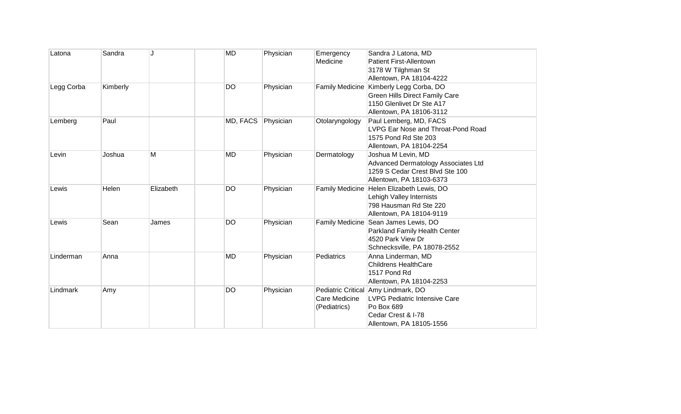| Latona     | Sandra   |           | <b>MD</b> | Physician | Emergency<br>Medicine         | Sandra J Latona, MD<br><b>Patient First-Allentown</b><br>3178 W Tilghman St<br>Allentown, PA 18104-4222                                     |
|------------|----------|-----------|-----------|-----------|-------------------------------|---------------------------------------------------------------------------------------------------------------------------------------------|
| Legg Corba | Kimberly |           | DO        | Physician |                               | Family Medicine Kimberly Legg Corba, DO<br><b>Green Hills Direct Family Care</b><br>1150 Glenlivet Dr Ste A17<br>Allentown, PA 18106-3112   |
| Lemberg    | Paul     |           | MD, FACS  | Physician | Otolaryngology                | Paul Lemberg, MD, FACS<br>LVPG Ear Nose and Throat-Pond Road<br>1575 Pond Rd Ste 203<br>Allentown, PA 18104-2254                            |
| Levin      | Joshua   | M         | MD        | Physician | Dermatology                   | Joshua M Levin, MD<br>Advanced Dermatology Associates Ltd<br>1259 S Cedar Crest Blvd Ste 100<br>Allentown, PA 18103-6373                    |
| Lewis      | Helen    | Elizabeth | <b>DO</b> | Physician |                               | Family Medicine Helen Elizabeth Lewis, DO<br>Lehigh Valley Internists<br>798 Hausman Rd Ste 220<br>Allentown, PA 18104-9119                 |
| Lewis      | Sean     | James     | <b>DO</b> | Physician |                               | Family Medicine Sean James Lewis, DO<br>Parkland Family Health Center<br>4520 Park View Dr<br>Schnecksville, PA 18078-2552                  |
| Linderman  | Anna     |           | <b>MD</b> | Physician | Pediatrics                    | Anna Linderman, MD<br><b>Childrens HealthCare</b><br>1517 Pond Rd<br>Allentown, PA 18104-2253                                               |
| Lindmark   | Amy      |           | <b>DO</b> | Physician | Care Medicine<br>(Pediatrics) | Pediatric Critical Amy Lindmark, DO<br><b>LVPG Pediatric Intensive Care</b><br>Po Box 689<br>Cedar Crest & I-78<br>Allentown, PA 18105-1556 |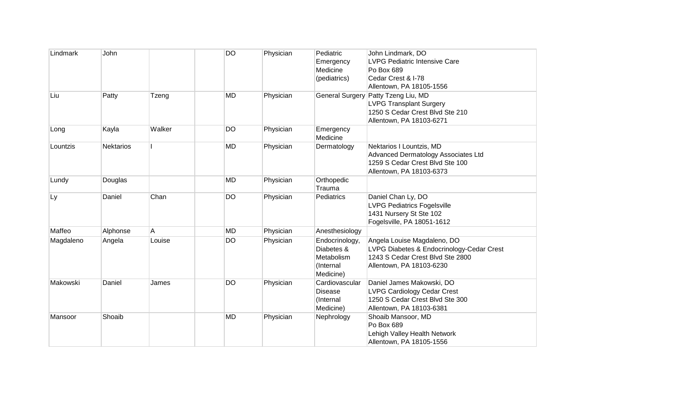| Lindmark  | John             |        | <b>DO</b> | Physician | Pediatric             | John Lindmark, DO                                  |
|-----------|------------------|--------|-----------|-----------|-----------------------|----------------------------------------------------|
|           |                  |        |           |           | Emergency<br>Medicine | <b>LVPG Pediatric Intensive Care</b><br>Po Box 689 |
|           |                  |        |           |           | (pediatrics)          | Cedar Crest & I-78                                 |
|           |                  |        |           |           |                       | Allentown, PA 18105-1556                           |
| Liu       | Patty            | Tzeng  | <b>MD</b> | Physician |                       | General Surgery Patty Tzeng Liu, MD                |
|           |                  |        |           |           |                       | <b>LVPG Transplant Surgery</b>                     |
|           |                  |        |           |           |                       | 1250 S Cedar Crest Blvd Ste 210                    |
|           |                  |        |           |           |                       | Allentown, PA 18103-6271                           |
| Long      | Kayla            | Walker | DO        | Physician | Emergency             |                                                    |
|           |                  |        |           |           | Medicine              |                                                    |
| Lountzis  | <b>Nektarios</b> |        | <b>MD</b> | Physician | Dermatology           | Nektarios I Lountzis, MD                           |
|           |                  |        |           |           |                       | Advanced Dermatology Associates Ltd                |
|           |                  |        |           |           |                       | 1259 S Cedar Crest Blvd Ste 100                    |
|           |                  |        |           |           |                       | Allentown, PA 18103-6373                           |
| Lundy     | Douglas          |        | <b>MD</b> | Physician | Orthopedic<br>Trauma  |                                                    |
| Ly        | Daniel           | Chan   | <b>DO</b> | Physician | Pediatrics            | Daniel Chan Ly, DO                                 |
|           |                  |        |           |           |                       | <b>LVPG Pediatrics Fogelsville</b>                 |
|           |                  |        |           |           |                       | 1431 Nursery St Ste 102                            |
|           |                  |        |           |           |                       | Fogelsville, PA 18051-1612                         |
| Maffeo    | Alphonse         | Α      | <b>MD</b> | Physician | Anesthesiology        |                                                    |
| Magdaleno | Angela           | Louise | <b>DO</b> | Physician | Endocrinology,        | Angela Louise Magdaleno, DO                        |
|           |                  |        |           |           | Diabetes &            | LVPG Diabetes & Endocrinology-Cedar Crest          |
|           |                  |        |           |           | Metabolism            | 1243 S Cedar Crest Blvd Ste 2800                   |
|           |                  |        |           |           | (Internal             | Allentown, PA 18103-6230                           |
|           |                  |        |           |           | Medicine)             |                                                    |
| Makowski  | Daniel           | James  | <b>DO</b> | Physician | Cardiovascular        | Daniel James Makowski, DO                          |
|           |                  |        |           |           | <b>Disease</b>        | <b>LVPG Cardiology Cedar Crest</b>                 |
|           |                  |        |           |           | (Internal             | 1250 S Cedar Crest Blvd Ste 300                    |
|           |                  |        |           |           | Medicine)             | Allentown, PA 18103-6381                           |
| Mansoor   | Shoaib           |        | <b>MD</b> | Physician | Nephrology            | Shoaib Mansoor, MD                                 |
|           |                  |        |           |           |                       | Po Box 689                                         |
|           |                  |        |           |           |                       | Lehigh Valley Health Network                       |
|           |                  |        |           |           |                       | Allentown, PA 18105-1556                           |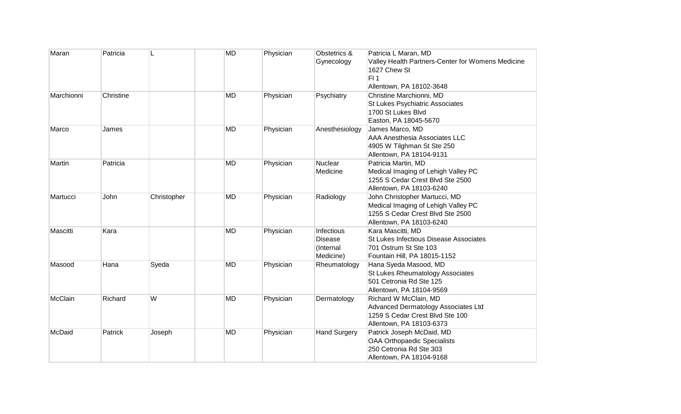| Maran      | Patricia  |             | <b>MD</b> | Physician | Obstetrics &        | Patricia L Maran, MD                                                   |
|------------|-----------|-------------|-----------|-----------|---------------------|------------------------------------------------------------------------|
|            |           |             |           |           | Gynecology          | Valley Health Partners-Center for Womens Medicine                      |
|            |           |             |           |           |                     | 1627 Chew St                                                           |
|            |           |             |           |           |                     | FI1                                                                    |
|            |           |             |           |           |                     | Allentown, PA 18102-3648                                               |
| Marchionni | Christine |             | <b>MD</b> | Physician | Psychiatry          | Christine Marchionni, MD                                               |
|            |           |             |           |           |                     | St Lukes Psychiatric Associates                                        |
|            |           |             |           |           |                     | 1700 St Lukes Blvd                                                     |
|            |           |             |           |           |                     | Easton, PA 18045-5670                                                  |
| Marco      | James     |             | <b>MD</b> | Physician | Anesthesiology      | James Marco, MD                                                        |
|            |           |             |           |           |                     | AAA Anesthesia Associates LLC                                          |
|            |           |             |           |           |                     | 4905 W Tilghman St Ste 250                                             |
|            |           |             |           |           |                     | Allentown, PA 18104-9131                                               |
| Martin     | Patricia  |             | <b>MD</b> | Physician | <b>Nuclear</b>      | Patricia Martin, MD                                                    |
|            |           |             |           |           | Medicine            | Medical Imaging of Lehigh Valley PC                                    |
|            |           |             |           |           |                     | 1255 S Cedar Crest Blvd Ste 2500                                       |
|            |           |             |           |           |                     | Allentown, PA 18103-6240                                               |
| Martucci   | John      | Christopher | <b>MD</b> | Physician | Radiology           | John Christopher Martucci, MD                                          |
|            |           |             |           |           |                     | Medical Imaging of Lehigh Valley PC                                    |
|            |           |             |           |           |                     | 1255 S Cedar Crest Blvd Ste 2500                                       |
|            |           |             |           |           |                     | Allentown, PA 18103-6240                                               |
| Mascitti   | Kara      |             | <b>MD</b> | Physician | Infectious          | Kara Mascitti, MD                                                      |
|            |           |             |           |           | <b>Disease</b>      | St Lukes Infectious Disease Associates                                 |
|            |           |             |           |           | (Internal           | 701 Ostrum St Ste 103                                                  |
|            |           |             |           |           | Medicine)           | Fountain Hill, PA 18015-1152                                           |
| Masood     | Hana      | Syeda       | <b>MD</b> | Physician | Rheumatology        | Hana Syeda Masood, MD                                                  |
|            |           |             |           |           |                     | St Lukes Rheumatology Associates<br>501 Cetronia Rd Ste 125            |
|            |           |             |           |           |                     |                                                                        |
| McClain    | Richard   | W           | <b>MD</b> |           |                     | Allentown, PA 18104-9569                                               |
|            |           |             |           | Physician | Dermatology         | Richard W McClain, MD                                                  |
|            |           |             |           |           |                     | Advanced Dermatology Associates Ltd<br>1259 S Cedar Crest Blvd Ste 100 |
|            |           |             |           |           |                     | Allentown, PA 18103-6373                                               |
| McDaid     | Patrick   | Joseph      | <b>MD</b> | Physician | <b>Hand Surgery</b> | Patrick Joseph McDaid, MD                                              |
|            |           |             |           |           |                     | <b>OAA Orthopaedic Specialists</b>                                     |
|            |           |             |           |           |                     | 250 Cetronia Rd Ste 303                                                |
|            |           |             |           |           |                     | Allentown, PA 18104-9168                                               |
|            |           |             |           |           |                     |                                                                        |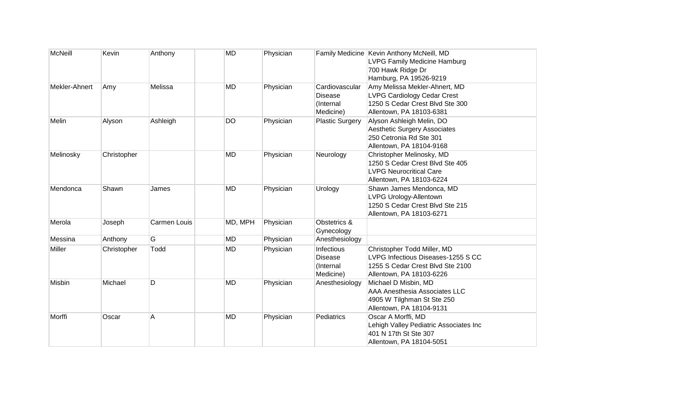| <b>McNeill</b> | Kevin       | Anthony      | <b>MD</b> | Physician |                                                               | Family Medicine Kevin Anthony McNeill, MD<br>LVPG Family Medicine Hamburg<br>700 Hawk Ridge Dr<br>Hamburg, PA 19526-9219           |
|----------------|-------------|--------------|-----------|-----------|---------------------------------------------------------------|------------------------------------------------------------------------------------------------------------------------------------|
| Mekler-Ahnert  | Amy         | Melissa      | <b>MD</b> | Physician | Cardiovascular<br>Disease<br>(Internal<br>Medicine)           | Amy Melissa Mekler-Ahnert, MD<br><b>LVPG Cardiology Cedar Crest</b><br>1250 S Cedar Crest Blvd Ste 300<br>Allentown, PA 18103-6381 |
| Melin          | Alyson      | Ashleigh     | <b>DO</b> | Physician | <b>Plastic Surgery</b>                                        | Alyson Ashleigh Melin, DO<br><b>Aesthetic Surgery Associates</b><br>250 Cetronia Rd Ste 301<br>Allentown, PA 18104-9168            |
| Melinosky      | Christopher |              | <b>MD</b> | Physician | Neurology                                                     | Christopher Melinosky, MD<br>1250 S Cedar Crest Blvd Ste 405<br><b>LVPG Neurocritical Care</b><br>Allentown, PA 18103-6224         |
| Mendonca       | Shawn       | James        | MD        | Physician | Urology                                                       | Shawn James Mendonca, MD<br>LVPG Urology-Allentown<br>1250 S Cedar Crest Blvd Ste 215<br>Allentown, PA 18103-6271                  |
| Merola         | Joseph      | Carmen Louis | MD, MPH   | Physician | Obstetrics &<br>Gynecology                                    |                                                                                                                                    |
| Messina        | Anthony     | G            | <b>MD</b> | Physician | Anesthesiology                                                |                                                                                                                                    |
| Miller         | Christopher | Todd         | MD        | Physician | <b>Infectious</b><br><b>Disease</b><br>(Internal<br>Medicine) | Christopher Todd Miller, MD<br>LVPG Infectious Diseases-1255 S CC<br>1255 S Cedar Crest Blvd Ste 2100<br>Allentown, PA 18103-6226  |
| Misbin         | Michael     | D            | <b>MD</b> | Physician | Anesthesiology                                                | Michael D Misbin, MD<br>AAA Anesthesia Associates LLC<br>4905 W Tilghman St Ste 250<br>Allentown, PA 18104-9131                    |
| Morffi         | Oscar       | Α            | <b>MD</b> | Physician | Pediatrics                                                    | Oscar A Morffi, MD<br>Lehigh Valley Pediatric Associates Inc<br>401 N 17th St Ste 307<br>Allentown, PA 18104-5051                  |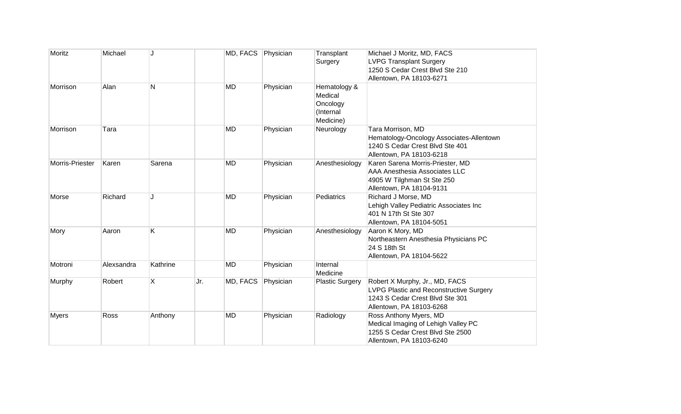| Moritz          | Michael    |          |     | MD, FACS Physician |           | Transplant             | Michael J Moritz, MD, FACS                     |
|-----------------|------------|----------|-----|--------------------|-----------|------------------------|------------------------------------------------|
|                 |            |          |     |                    |           | Surgery                | <b>LVPG Transplant Surgery</b>                 |
|                 |            |          |     |                    |           |                        | 1250 S Cedar Crest Blvd Ste 210                |
|                 |            |          |     |                    |           |                        | Allentown, PA 18103-6271                       |
| Morrison        | Alan       | N        |     | <b>MD</b>          | Physician | Hematology &           |                                                |
|                 |            |          |     |                    |           | Medical                |                                                |
|                 |            |          |     |                    |           | Oncology               |                                                |
|                 |            |          |     |                    |           | (Internal              |                                                |
|                 |            |          |     |                    |           | Medicine)              |                                                |
| Morrison        | Tara       |          |     | <b>MD</b>          | Physician | Neurology              | Tara Morrison, MD                              |
|                 |            |          |     |                    |           |                        | Hematology-Oncology Associates-Allentown       |
|                 |            |          |     |                    |           |                        | 1240 S Cedar Crest Blvd Ste 401                |
|                 |            |          |     |                    |           |                        | Allentown, PA 18103-6218                       |
| Morris-Priester | Karen      | Sarena   |     | <b>MD</b>          | Physician | Anesthesiology         | Karen Sarena Morris-Priester, MD               |
|                 |            |          |     |                    |           |                        | AAA Anesthesia Associates LLC                  |
|                 |            |          |     |                    |           |                        | 4905 W Tilghman St Ste 250                     |
|                 |            |          |     |                    |           |                        | Allentown, PA 18104-9131                       |
| Morse           | Richard    | ۱.       |     | <b>MD</b>          | Physician | Pediatrics             | Richard J Morse, MD                            |
|                 |            |          |     |                    |           |                        | Lehigh Valley Pediatric Associates Inc         |
|                 |            |          |     |                    |           |                        | 401 N 17th St Ste 307                          |
|                 |            |          |     |                    |           |                        | Allentown, PA 18104-5051                       |
| Mory            | Aaron      | Κ        |     | <b>MD</b>          | Physician | Anesthesiology         | Aaron K Mory, MD                               |
|                 |            |          |     |                    |           |                        | Northeastern Anesthesia Physicians PC          |
|                 |            |          |     |                    |           |                        | 24 S 18th St                                   |
|                 |            |          |     |                    |           |                        | Allentown, PA 18104-5622                       |
| Motroni         | Alexsandra | Kathrine |     | <b>MD</b>          | Physician | Internal               |                                                |
|                 |            |          |     |                    |           | Medicine               |                                                |
| Murphy          | Robert     | X        | Jr. | MD, FACS           | Physician | <b>Plastic Surgery</b> | Robert X Murphy, Jr., MD, FACS                 |
|                 |            |          |     |                    |           |                        | <b>LVPG Plastic and Reconstructive Surgery</b> |
|                 |            |          |     |                    |           |                        | 1243 S Cedar Crest Blvd Ste 301                |
|                 |            |          |     |                    |           |                        | Allentown, PA 18103-6268                       |
| <b>Myers</b>    | Ross       | Anthony  |     | <b>MD</b>          | Physician | Radiology              | Ross Anthony Myers, MD                         |
|                 |            |          |     |                    |           |                        | Medical Imaging of Lehigh Valley PC            |
|                 |            |          |     |                    |           |                        | 1255 S Cedar Crest Blvd Ste 2500               |
|                 |            |          |     |                    |           |                        | Allentown, PA 18103-6240                       |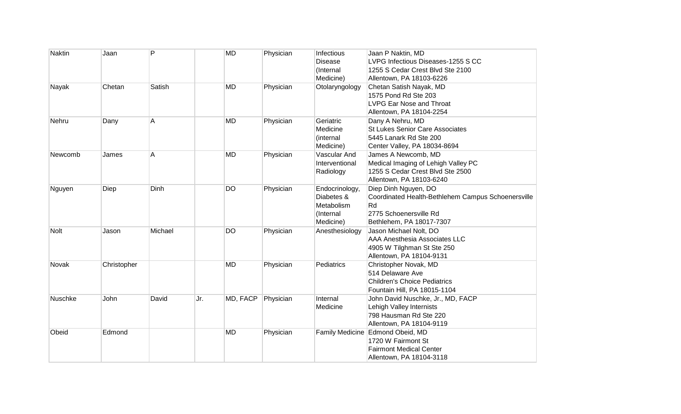| <b>Naktin</b> | Jaan        | P       |     | <b>MD</b> | Physician | Infectious<br><b>Disease</b><br>(Internal<br>Medicine)               | Jaan P Naktin, MD<br>LVPG Infectious Diseases-1255 S CC<br>1255 S Cedar Crest Blvd Ste 2100<br>Allentown, PA 18103-6226                |
|---------------|-------------|---------|-----|-----------|-----------|----------------------------------------------------------------------|----------------------------------------------------------------------------------------------------------------------------------------|
| Nayak         | Chetan      | Satish  |     | <b>MD</b> | Physician | Otolaryngology                                                       | Chetan Satish Nayak, MD<br>1575 Pond Rd Ste 203<br><b>LVPG Ear Nose and Throat</b><br>Allentown, PA 18104-2254                         |
| Nehru         | Dany        | Α       |     | MD        | Physician | Geriatric<br>Medicine<br>(internal<br>Medicine)                      | Dany A Nehru, MD<br><b>St Lukes Senior Care Associates</b><br>5445 Lanark Rd Ste 200<br>Center Valley, PA 18034-8694                   |
| Newcomb       | James       | Α       |     | <b>MD</b> | Physician | Vascular And<br>Interventional<br>Radiology                          | James A Newcomb, MD<br>Medical Imaging of Lehigh Valley PC<br>1255 S Cedar Crest Blvd Ste 2500<br>Allentown, PA 18103-6240             |
| Nguyen        | Diep        | Dinh    |     | <b>DO</b> | Physician | Endocrinology,<br>Diabetes &<br>Metabolism<br>(Internal<br>Medicine) | Diep Dinh Nguyen, DO<br>Coordinated Health-Bethlehem Campus Schoenersville<br>Rd<br>2775 Schoenersville Rd<br>Bethlehem, PA 18017-7307 |
| <b>Nolt</b>   | Jason       | Michael |     | <b>DO</b> | Physician | Anesthesiology                                                       | Jason Michael Nolt, DO<br><b>AAA Anesthesia Associates LLC</b><br>4905 W Tilghman St Ste 250<br>Allentown, PA 18104-9131               |
| Novak         | Christopher |         |     | <b>MD</b> | Physician | Pediatrics                                                           | Christopher Novak, MD<br>514 Delaware Ave<br><b>Children's Choice Pediatrics</b><br>Fountain Hill, PA 18015-1104                       |
| Nuschke       | John        | David   | Jr. | MD, FACP  | Physician | Internal<br>Medicine                                                 | John David Nuschke, Jr., MD, FACP<br>Lehigh Valley Internists<br>798 Hausman Rd Ste 220<br>Allentown, PA 18104-9119                    |
| Obeid         | Edmond      |         |     | <b>MD</b> | Physician |                                                                      | Family Medicine Edmond Obeid, MD<br>1720 W Fairmont St<br><b>Fairmont Medical Center</b><br>Allentown, PA 18104-3118                   |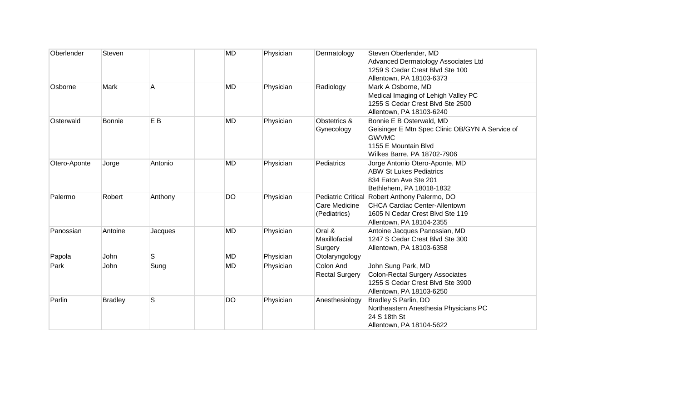| Oberlender   | Steven         |                | <b>MD</b> | Physician | Dermatology                                                | Steven Oberlender, MD<br>Advanced Dermatology Associates Ltd<br>1259 S Cedar Crest Blvd Ste 100<br>Allentown, PA 18103-6373                        |
|--------------|----------------|----------------|-----------|-----------|------------------------------------------------------------|----------------------------------------------------------------------------------------------------------------------------------------------------|
| Osborne      | Mark           | Α              | <b>MD</b> | Physician | Radiology                                                  | Mark A Osborne, MD<br>Medical Imaging of Lehigh Valley PC<br>1255 S Cedar Crest Blvd Ste 2500<br>Allentown, PA 18103-6240                          |
| Osterwald    | <b>Bonnie</b>  | E <sub>B</sub> | <b>MD</b> | Physician | Obstetrics &<br>Gynecology                                 | Bonnie E B Osterwald, MD<br>Geisinger E Mtn Spec Clinic OB/GYN A Service of<br><b>GWVMC</b><br>1155 E Mountain Blvd<br>Wilkes Barre, PA 18702-7906 |
| Otero-Aponte | Jorge          | Antonio        | MD        | Physician | Pediatrics                                                 | Jorge Antonio Otero-Aponte, MD<br><b>ABW St Lukes Pediatrics</b><br>834 Eaton Ave Ste 201<br>Bethlehem, PA 18018-1832                              |
| Palermo      | Robert         | Anthony        | DO        | Physician | <b>Pediatric Critical</b><br>Care Medicine<br>(Pediatrics) | Robert Anthony Palermo, DO<br><b>CHCA Cardiac Center-Allentown</b><br>1605 N Cedar Crest Blvd Ste 119<br>Allentown, PA 18104-2355                  |
| Panossian    | Antoine        | Jacques        | <b>MD</b> | Physician | Oral &<br>Maxillofacial<br>Surgery                         | Antoine Jacques Panossian, MD<br>1247 S Cedar Crest Blvd Ste 300<br>Allentown, PA 18103-6358                                                       |
| Papola       | John           | S              | <b>MD</b> | Physician | Otolaryngology                                             |                                                                                                                                                    |
| Park         | John           | Sung           | <b>MD</b> | Physician | Colon And<br><b>Rectal Surgery</b>                         | John Sung Park, MD<br><b>Colon-Rectal Surgery Associates</b><br>1255 S Cedar Crest Blvd Ste 3900<br>Allentown, PA 18103-6250                       |
| Parlin       | <b>Bradley</b> | S              | <b>DO</b> | Physician | Anesthesiology                                             | Bradley S Parlin, DO<br>Northeastern Anesthesia Physicians PC<br>24 S 18th St<br>Allentown, PA 18104-5622                                          |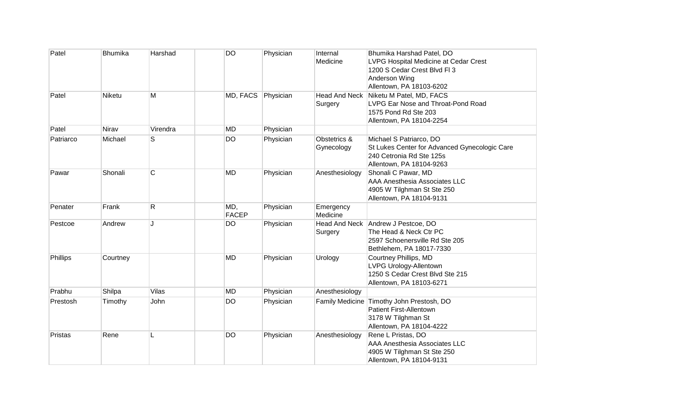| Patel     | <b>Bhumika</b> | Harshad      | DO                  | Physician | Internal<br>Medicine            | Bhumika Harshad Patel, DO<br>LVPG Hospital Medicine at Cedar Crest<br>1200 S Cedar Crest Blvd Fl 3<br>Anderson Wing<br>Allentown, PA 18103-6202 |
|-----------|----------------|--------------|---------------------|-----------|---------------------------------|-------------------------------------------------------------------------------------------------------------------------------------------------|
| Patel     | Niketu         | M            | MD, FACS            | Physician | <b>Head And Neck</b><br>Surgery | Niketu M Patel, MD, FACS<br>LVPG Ear Nose and Throat-Pond Road<br>1575 Pond Rd Ste 203<br>Allentown, PA 18104-2254                              |
| Patel     | Nirav          | Virendra     | <b>MD</b>           | Physician |                                 |                                                                                                                                                 |
| Patriarco | Michael        | S            | <b>DO</b>           | Physician | Obstetrics &<br>Gynecology      | Michael S Patriarco, DO<br>St Lukes Center for Advanced Gynecologic Care<br>240 Cetronia Rd Ste 125s<br>Allentown, PA 18104-9263                |
| Pawar     | Shonali        | $\mathsf C$  | <b>MD</b>           | Physician | Anesthesiology                  | Shonali C Pawar, MD<br><b>AAA Anesthesia Associates LLC</b><br>4905 W Tilghman St Ste 250<br>Allentown, PA 18104-9131                           |
| Penater   | Frank          | $\mathsf{R}$ | MD,<br><b>FACEP</b> | Physician | Emergency<br>Medicine           |                                                                                                                                                 |
| Pestcoe   | Andrew         | J            | DO                  | Physician | Surgery                         | Head And Neck Andrew J Pestcoe, DO<br>The Head & Neck Ctr PC<br>2597 Schoenersville Rd Ste 205<br>Bethlehem, PA 18017-7330                      |
| Phillips  | Courtney       |              | <b>MD</b>           | Physician | Urology                         | Courtney Phillips, MD<br>LVPG Urology-Allentown<br>1250 S Cedar Crest Blvd Ste 215<br>Allentown, PA 18103-6271                                  |
| Prabhu    | Shilpa         | Vilas        | <b>MD</b>           | Physician | Anesthesiology                  |                                                                                                                                                 |
| Prestosh  | Timothy        | John         | <b>DO</b>           | Physician |                                 | Family Medicine Timothy John Prestosh, DO<br>Patient First-Allentown<br>3178 W Tilghman St<br>Allentown, PA 18104-4222                          |
| Pristas   | Rene           | L            | DO                  | Physician | Anesthesiology                  | Rene L Pristas, DO<br><b>AAA Anesthesia Associates LLC</b><br>4905 W Tilghman St Ste 250<br>Allentown, PA 18104-9131                            |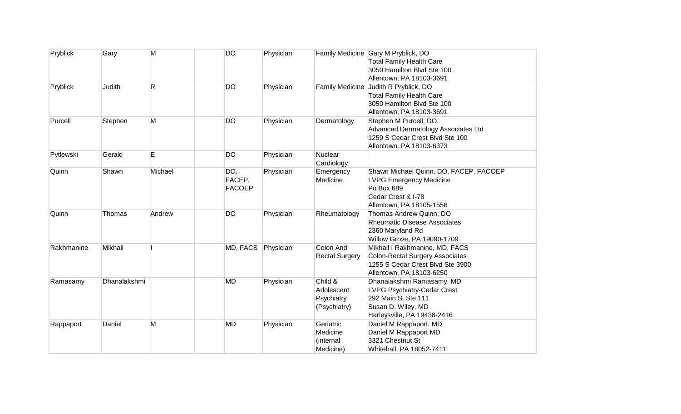| Pryblick   | Gary           | M       | DO                             | Physician |                                                     | Family Medicine Gary M Pryblick, DO<br><b>Total Family Health Care</b><br>3050 Hamilton Blvd Ste 100<br>Allentown, PA 18103-3691         |
|------------|----------------|---------|--------------------------------|-----------|-----------------------------------------------------|------------------------------------------------------------------------------------------------------------------------------------------|
| Pryblick   | Judith         | R       | <b>DO</b>                      | Physician |                                                     | Family Medicine Judith R Pryblick, DO<br><b>Total Family Health Care</b><br>3050 Hamilton Blvd Ste 100<br>Allentown, PA 18103-3691       |
| Purcell    | Stephen        | M       | <b>DO</b>                      | Physician | Dermatology                                         | Stephen M Purcell, DO<br>Advanced Dermatology Associates Ltd<br>1259 S Cedar Crest Blvd Ste 100<br>Allentown, PA 18103-6373              |
| Pytlewski  | Gerald         | E       | DO                             | Physician | Nuclear<br>Cardiology                               |                                                                                                                                          |
| Quinn      | Shawn          | Michael | DO,<br>FACEP,<br><b>FACOEP</b> | Physician | Emergency<br>Medicine                               | Shawn Michael Quinn, DO, FACEP, FACOEP<br><b>LVPG Emergency Medicine</b><br>Po Box 689<br>Cedar Crest & I-78<br>Allentown, PA 18105-1556 |
| Quinn      | Thomas         | Andrew  | <b>DO</b>                      | Physician | Rheumatology                                        | Thomas Andrew Quinn, DO<br><b>Rheumatic Disease Associates</b><br>2360 Maryland Rd<br>Willow Grove, PA 19090-1709                        |
| Rakhmanine | <b>Mikhail</b> |         | MD, FACS                       | Physician | Colon And<br><b>Rectal Surgery</b>                  | Mikhail I Rakhmanine, MD, FACS<br><b>Colon-Rectal Surgery Associates</b><br>1255 S Cedar Crest Blvd Ste 3900<br>Allentown, PA 18103-6250 |
| Ramasamy   | Dhanalakshmi   |         | <b>MD</b>                      | Physician | Child &<br>Adolescent<br>Psychiatry<br>(Psychiatry) | Dhanalakshmi Ramasamy, MD<br>LVPG Psychiatry-Cedar Crest<br>292 Main St Ste 111<br>Susan D. Wiley, MD<br>Harleysville, PA 19438-2416     |
| Rappaport  | Daniel         | M       | <b>MD</b>                      | Physician | Geriatric<br>Medicine<br>(internal<br>Medicine)     | Daniel M Rappaport, MD<br>Daniel M Rappaport MD<br>3321 Chestnut St<br>Whitehall, PA 18052-7411                                          |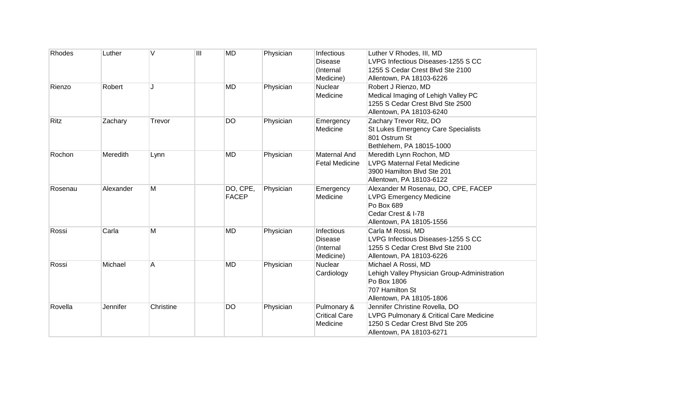| Rhodes  | Luther    | V         | $\overline{III}$ | <b>MD</b>    | Physician | Infectious            | Luther V Rhodes, III, MD                     |
|---------|-----------|-----------|------------------|--------------|-----------|-----------------------|----------------------------------------------|
|         |           |           |                  |              |           | <b>Disease</b>        | LVPG Infectious Diseases-1255 S CC           |
|         |           |           |                  |              |           | (Internal             | 1255 S Cedar Crest Blvd Ste 2100             |
|         |           |           |                  |              |           | Medicine)             | Allentown, PA 18103-6226                     |
| Rienzo  | Robert    | J         |                  | <b>MD</b>    | Physician | Nuclear               | Robert J Rienzo, MD                          |
|         |           |           |                  |              |           | Medicine              | Medical Imaging of Lehigh Valley PC          |
|         |           |           |                  |              |           |                       | 1255 S Cedar Crest Blvd Ste 2500             |
|         |           |           |                  |              |           |                       | Allentown, PA 18103-6240                     |
| Ritz    | Zachary   | Trevor    |                  | DO           | Physician | Emergency             | Zachary Trevor Ritz, DO                      |
|         |           |           |                  |              |           | Medicine              | St Lukes Emergency Care Specialists          |
|         |           |           |                  |              |           |                       | 801 Ostrum St                                |
|         |           |           |                  |              |           |                       | Bethlehem, PA 18015-1000                     |
| Rochon  | Meredith  | Lynn      |                  | <b>MD</b>    | Physician | <b>Maternal And</b>   | Meredith Lynn Rochon, MD                     |
|         |           |           |                  |              |           | <b>Fetal Medicine</b> | <b>LVPG Maternal Fetal Medicine</b>          |
|         |           |           |                  |              |           |                       | 3900 Hamilton Blvd Ste 201                   |
|         |           |           |                  |              |           |                       | Allentown, PA 18103-6122                     |
| Rosenau | Alexander | M         |                  | DO, CPE,     | Physician | Emergency             | Alexander M Rosenau, DO, CPE, FACEP          |
|         |           |           |                  | <b>FACEP</b> |           | Medicine              | <b>LVPG Emergency Medicine</b>               |
|         |           |           |                  |              |           |                       | Po Box 689                                   |
|         |           |           |                  |              |           |                       | Cedar Crest & I-78                           |
|         |           |           |                  |              |           |                       | Allentown, PA 18105-1556                     |
| Rossi   | Carla     | M         |                  | MD           | Physician | Infectious            | Carla M Rossi, MD                            |
|         |           |           |                  |              |           | <b>Disease</b>        | LVPG Infectious Diseases-1255 S CC           |
|         |           |           |                  |              |           | (Internal             | 1255 S Cedar Crest Blvd Ste 2100             |
|         |           |           |                  |              |           | Medicine)             | Allentown, PA 18103-6226                     |
| Rossi   | Michael   | A         |                  | <b>MD</b>    | Physician | <b>Nuclear</b>        | Michael A Rossi, MD                          |
|         |           |           |                  |              |           | Cardiology            | Lehigh Valley Physician Group-Administration |
|         |           |           |                  |              |           |                       | Po Box 1806                                  |
|         |           |           |                  |              |           |                       | 707 Hamilton St                              |
|         |           |           |                  |              |           |                       | Allentown, PA 18105-1806                     |
| Rovella | Jennifer  | Christine |                  | <b>DO</b>    | Physician | Pulmonary &           | Jennifer Christine Rovella, DO               |
|         |           |           |                  |              |           | <b>Critical Care</b>  | LVPG Pulmonary & Critical Care Medicine      |
|         |           |           |                  |              |           | Medicine              | 1250 S Cedar Crest Blvd Ste 205              |
|         |           |           |                  |              |           |                       | Allentown, PA 18103-6271                     |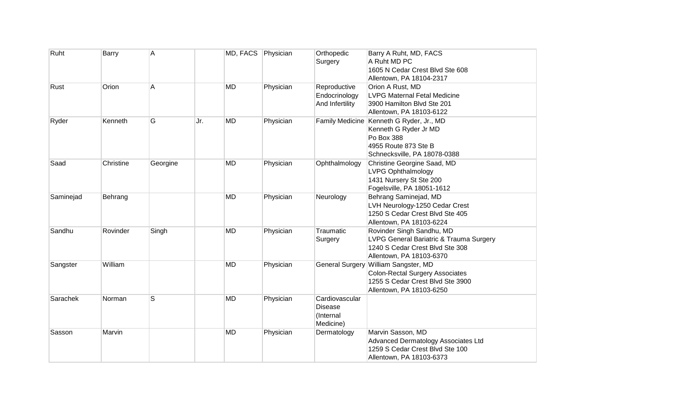| Ruht      | Barry     | Α        |                  | MD, FACS Physician | Orthopedic<br>Surgery                               | Barry A Ruht, MD, FACS<br>A Ruht MD PC<br>1605 N Cedar Crest Blvd Ste 608<br>Allentown, PA 18104-2317                                          |
|-----------|-----------|----------|------------------|--------------------|-----------------------------------------------------|------------------------------------------------------------------------------------------------------------------------------------------------|
| Rust      | Orion     | Α        | <b>MD</b>        | Physician          | Reproductive<br>Endocrinology<br>And Infertility    | Orion A Rust, MD<br><b>LVPG Maternal Fetal Medicine</b><br>3900 Hamilton Blvd Ste 201<br>Allentown, PA 18103-6122                              |
| Ryder     | Kenneth   | G        | Jr.<br><b>MD</b> | Physician          |                                                     | Family Medicine Kenneth G Ryder, Jr., MD<br>Kenneth G Ryder Jr MD<br>Po Box 388<br>4955 Route 873 Ste B<br>Schnecksville, PA 18078-0388        |
| Saad      | Christine | Georgine | <b>MD</b>        | Physician          | Ophthalmology                                       | Christine Georgine Saad, MD<br><b>LVPG Ophthalmology</b><br>1431 Nursery St Ste 200<br>Fogelsville, PA 18051-1612                              |
| Saminejad | Behrang   |          | MD               | Physician          | Neurology                                           | Behrang Saminejad, MD<br>LVH Neurology-1250 Cedar Crest<br>1250 S Cedar Crest Blvd Ste 405<br>Allentown, PA 18103-6224                         |
| Sandhu    | Rovinder  | Singh    | <b>MD</b>        | Physician          | Traumatic<br>Surgery                                | Rovinder Singh Sandhu, MD<br>LVPG General Bariatric & Trauma Surgery<br>1240 S Cedar Crest Blvd Ste 308<br>Allentown, PA 18103-6370            |
| Sangster  | William   |          | <b>MD</b>        | Physician          |                                                     | General Surgery William Sangster, MD<br><b>Colon-Rectal Surgery Associates</b><br>1255 S Cedar Crest Blvd Ste 3900<br>Allentown, PA 18103-6250 |
| Sarachek  | Norman    | S        | <b>MD</b>        | Physician          | Cardiovascular<br>Disease<br>(Internal<br>Medicine) |                                                                                                                                                |
| Sasson    | Marvin    |          | <b>MD</b>        | Physician          | Dermatology                                         | Marvin Sasson, MD<br>Advanced Dermatology Associates Ltd<br>1259 S Cedar Crest Blvd Ste 100<br>Allentown, PA 18103-6373                        |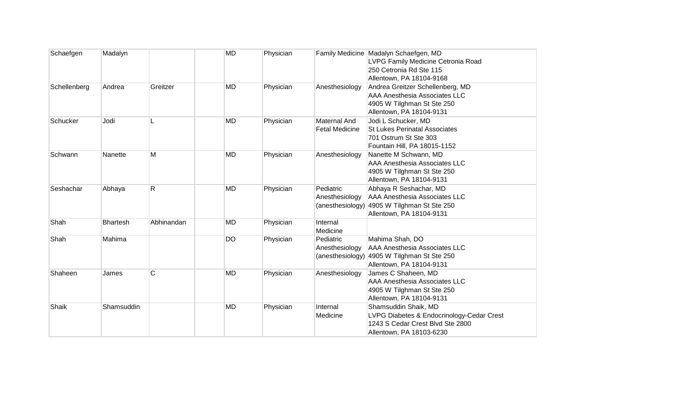| Schaefgen    | Madalyn         |            | <b>MD</b> | Physician |                                              | Family Medicine Madalyn Schaefgen, MD<br>LVPG Family Medicine Cetronia Road<br>250 Cetronia Rd Ste 115                                                  |
|--------------|-----------------|------------|-----------|-----------|----------------------------------------------|---------------------------------------------------------------------------------------------------------------------------------------------------------|
| Schellenberg | Andrea          | Greitzer   | <b>MD</b> | Physician | Anesthesiology                               | Allentown, PA 18104-9168<br>Andrea Greitzer Schellenberg, MD<br>AAA Anesthesia Associates LLC<br>4905 W Tilghman St Ste 250<br>Allentown, PA 18104-9131 |
| Schucker     | Jodi            |            | <b>MD</b> | Physician | <b>Maternal And</b><br><b>Fetal Medicine</b> | Jodi L Schucker, MD<br><b>St Lukes Perinatal Associates</b><br>701 Ostrum St Ste 303<br>Fountain Hill, PA 18015-1152                                    |
| Schwann      | Nanette         | M          | <b>MD</b> | Physician | Anesthesiology                               | Nanette M Schwann, MD<br>AAA Anesthesia Associates LLC<br>4905 W Tilghman St Ste 250<br>Allentown, PA 18104-9131                                        |
| Seshachar    | Abhaya          | R          | <b>MD</b> | Physician | Pediatric<br>Anesthesiology                  | Abhaya R Seshachar, MD<br><b>AAA Anesthesia Associates LLC</b><br>(anesthesiology) 4905 W Tilghman St Ste 250<br>Allentown, PA 18104-9131               |
| Shah         | <b>Bhartesh</b> | Abhinandan | <b>MD</b> | Physician | Internal<br>Medicine                         |                                                                                                                                                         |
| Shah         | Mahima          |            | <b>DO</b> | Physician | Pediatric<br>Anesthesiology                  | Mahima Shah, DO<br><b>AAA Anesthesia Associates LLC</b><br>(anesthesiology) 4905 W Tilghman St Ste 250<br>Allentown, PA 18104-9131                      |
| Shaheen      | James           | С          | <b>MD</b> | Physician | Anesthesiology                               | James C Shaheen, MD<br>AAA Anesthesia Associates LLC<br>4905 W Tilghman St Ste 250<br>Allentown, PA 18104-9131                                          |
| Shaik        | Shamsuddin      |            | <b>MD</b> | Physician | Internal<br>Medicine                         | Shamsuddin Shaik, MD<br>LVPG Diabetes & Endocrinology-Cedar Crest<br>1243 S Cedar Crest Blvd Ste 2800<br>Allentown, PA 18103-6230                       |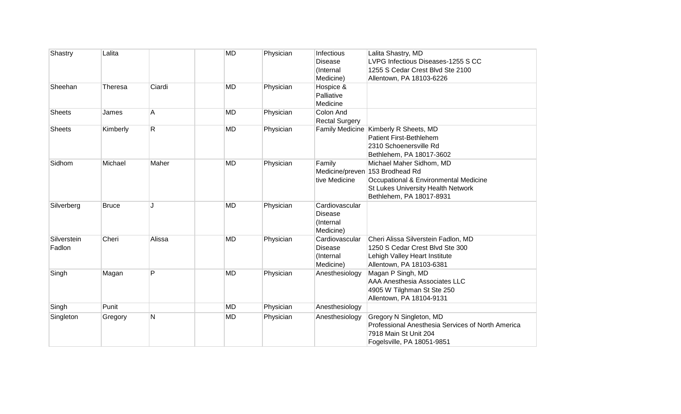| Shastry               | Lalita       |        | <b>MD</b> | Physician | Infectious<br>Disease<br>(Internal<br>Medicine)            | Lalita Shastry, MD<br>LVPG Infectious Diseases-1255 S CC<br>1255 S Cedar Crest Blvd Ste 2100<br>Allentown, PA 18103-6226                                               |
|-----------------------|--------------|--------|-----------|-----------|------------------------------------------------------------|------------------------------------------------------------------------------------------------------------------------------------------------------------------------|
| Sheehan               | Theresa      | Ciardi | <b>MD</b> | Physician | Hospice &<br>Palliative<br>Medicine                        |                                                                                                                                                                        |
| Sheets                | James        | Α      | <b>MD</b> | Physician | Colon And<br><b>Rectal Surgery</b>                         |                                                                                                                                                                        |
| <b>Sheets</b>         | Kimberly     | R      | <b>MD</b> | Physician |                                                            | Family Medicine Kimberly R Sheets, MD<br><b>Patient First-Bethlehem</b><br>2310 Schoenersville Rd<br>Bethlehem, PA 18017-3602                                          |
| Sidhom                | Michael      | Maher  | <b>MD</b> | Physician | Family<br>tive Medicine                                    | Michael Maher Sidhom, MD<br>Medicine/preven 153 Brodhead Rd<br>Occupational & Environmental Medicine<br>St Lukes University Health Network<br>Bethlehem, PA 18017-8931 |
| Silverberg            | <b>Bruce</b> | J      | <b>MD</b> | Physician | Cardiovascular<br><b>Disease</b><br>(Internal<br>Medicine) |                                                                                                                                                                        |
| Silverstein<br>Fadlon | Cheri        | Alissa | <b>MD</b> | Physician | Cardiovascular<br><b>Disease</b><br>(Internal<br>Medicine) | Cheri Alissa Silverstein Fadlon, MD<br>1250 S Cedar Crest Blvd Ste 300<br>Lehigh Valley Heart Institute<br>Allentown, PA 18103-6381                                    |
| Singh                 | Magan        | P      | <b>MD</b> | Physician | Anesthesiology                                             | Magan P Singh, MD<br>AAA Anesthesia Associates LLC<br>4905 W Tilghman St Ste 250<br>Allentown, PA 18104-9131                                                           |
| Singh                 | Punit        |        | <b>MD</b> | Physician | Anesthesiology                                             |                                                                                                                                                                        |
| Singleton             | Gregory      | N      | MD        | Physician | Anesthesiology                                             | Gregory N Singleton, MD<br>Professional Anesthesia Services of North America<br>7918 Main St Unit 204<br>Fogelsville, PA 18051-9851                                    |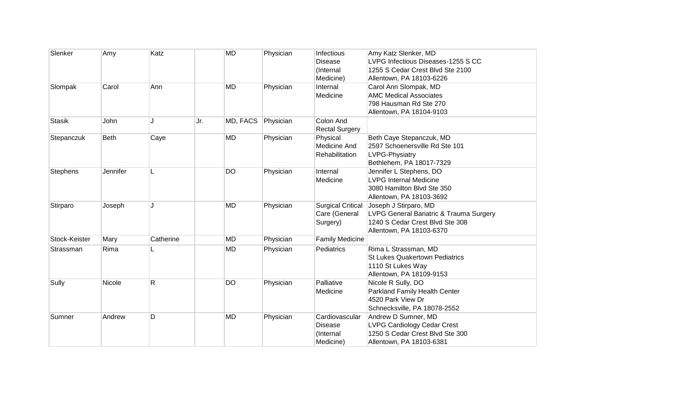| Slenker         | Amy      | Katz      |     | <b>MD</b> | Physician | Infectious<br>Disease<br>(Internal<br>Medicine)            | Amy Katz Slenker, MD<br>LVPG Infectious Diseases-1255 S CC<br>1255 S Cedar Crest Blvd Ste 2100<br>Allentown, PA 18103-6226      |
|-----------------|----------|-----------|-----|-----------|-----------|------------------------------------------------------------|---------------------------------------------------------------------------------------------------------------------------------|
| Slompak         | Carol    | Ann       |     | <b>MD</b> | Physician | Internal<br>Medicine                                       | Carol Ann Slompak, MD<br><b>AMC Medical Associates</b><br>798 Hausman Rd Ste 270<br>Allentown, PA 18104-9103                    |
| <b>Stasik</b>   | John     | J         | Jr. | MD, FACS  | Physician | Colon And<br><b>Rectal Surgery</b>                         |                                                                                                                                 |
| Stepanczuk      | Beth     | Caye      |     | <b>MD</b> | Physician | Physical<br><b>Medicine And</b><br>Rehabilitation          | Beth Caye Stepanczuk, MD<br>2597 Schoenersville Rd Ste 101<br>LVPG-Physiatry<br>Bethlehem, PA 18017-7329                        |
| <b>Stephens</b> | Jennifer |           |     | <b>DO</b> | Physician | Internal<br>Medicine                                       | Jennifer L Stephens, DO<br><b>LVPG Internal Medicine</b><br>3080 Hamilton Blvd Ste 350<br>Allentown, PA 18103-3692              |
| Stirparo        | Joseph   | J         |     | MD        | Physician | <b>Surgical Critical</b><br>Care (General<br>Surgery)      | Joseph J Stirparo, MD<br>LVPG General Bariatric & Trauma Surgery<br>1240 S Cedar Crest Blvd Ste 308<br>Allentown, PA 18103-6370 |
| Stock-Keister   | Mary     | Catherine |     | <b>MD</b> | Physician | <b>Family Medicine</b>                                     |                                                                                                                                 |
| Strassman       | Rima     |           |     | MD        | Physician | Pediatrics                                                 | Rima L Strassman, MD<br><b>St Lukes Quakertown Pediatrics</b><br>1110 St Lukes Way<br>Allentown, PA 18109-9153                  |
| Sully           | Nicole   | R         |     | <b>DO</b> | Physician | Palliative<br>Medicine                                     | Nicole R Sully, DO<br>Parkland Family Health Center<br>4520 Park View Dr<br>Schnecksville, PA 18078-2552                        |
| Sumner          | Andrew   | D         |     | <b>MD</b> | Physician | Cardiovascular<br><b>Disease</b><br>(Internal<br>Medicine) | Andrew D Sumner, MD<br><b>LVPG Cardiology Cedar Crest</b><br>1250 S Cedar Crest Blvd Ste 300<br>Allentown, PA 18103-6381        |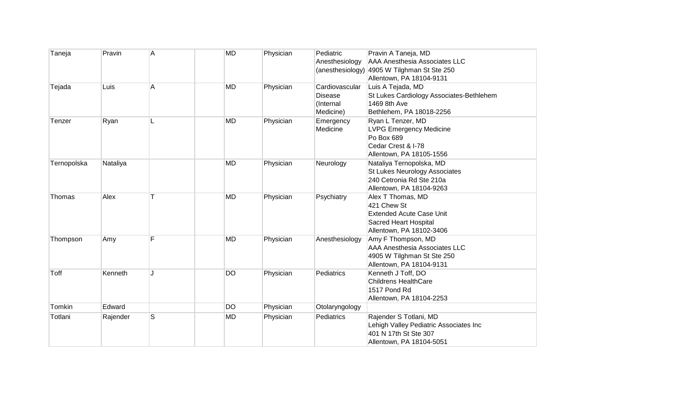| Taneja      | Pravin   | A | <b>MD</b> | Physician | Pediatric<br>Anesthesiology                                | Pravin A Taneja, MD<br><b>AAA Anesthesia Associates LLC</b><br>(anesthesiology) 4905 W Tilghman St Ste 250<br>Allentown, PA 18104-9131 |
|-------------|----------|---|-----------|-----------|------------------------------------------------------------|----------------------------------------------------------------------------------------------------------------------------------------|
| Tejada      | Luis     | A | <b>MD</b> | Physician | Cardiovascular<br><b>Disease</b><br>(Internal<br>Medicine) | Luis A Tejada, MD<br>St Lukes Cardiology Associates-Bethlehem<br>1469 8th Ave<br>Bethlehem, PA 18018-2256                              |
| Tenzer      | Ryan     |   | <b>MD</b> | Physician | Emergency<br>Medicine                                      | Ryan L Tenzer, MD<br><b>LVPG Emergency Medicine</b><br>Po Box 689<br>Cedar Crest & I-78<br>Allentown, PA 18105-1556                    |
| Ternopolska | Nataliya |   | <b>MD</b> | Physician | Neurology                                                  | Nataliya Ternopolska, MD<br>St Lukes Neurology Associates<br>240 Cetronia Rd Ste 210a<br>Allentown, PA 18104-9263                      |
| Thomas      | Alex     |   | MD        | Physician | Psychiatry                                                 | Alex T Thomas, MD<br>421 Chew St<br><b>Extended Acute Case Unit</b><br>Sacred Heart Hospital<br>Allentown, PA 18102-3406               |
| Thompson    | Amy      | F | <b>MD</b> | Physician | Anesthesiology                                             | Amy F Thompson, MD<br><b>AAA Anesthesia Associates LLC</b><br>4905 W Tilghman St Ste 250<br>Allentown, PA 18104-9131                   |
| Toff        | Kenneth  |   | DO        | Physician | Pediatrics                                                 | Kenneth J Toff, DO<br><b>Childrens HealthCare</b><br>1517 Pond Rd<br>Allentown, PA 18104-2253                                          |
| Tomkin      | Edward   |   | DO        | Physician | Otolaryngology                                             |                                                                                                                                        |
| Totlani     | Rajender | S | MD        | Physician | Pediatrics                                                 | Rajender S Totlani, MD<br>Lehigh Valley Pediatric Associates Inc<br>401 N 17th St Ste 307<br>Allentown, PA 18104-5051                  |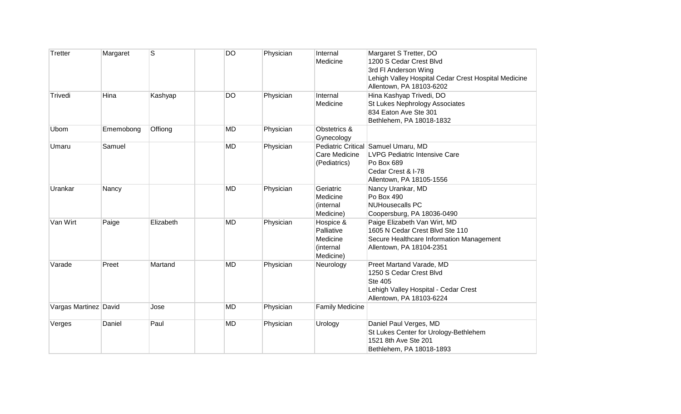| Tretter               | Margaret  | S         | DO        | Physician | Internal<br>Medicine                                          | Margaret S Tretter, DO<br>1200 S Cedar Crest Blvd<br>3rd FI Anderson Wing<br>Lehigh Valley Hospital Cedar Crest Hospital Medicine<br>Allentown, PA 18103-6202 |
|-----------------------|-----------|-----------|-----------|-----------|---------------------------------------------------------------|---------------------------------------------------------------------------------------------------------------------------------------------------------------|
| Trivedi               | Hina      | Kashyap   | <b>DO</b> | Physician | Internal<br>Medicine                                          | Hina Kashyap Trivedi, DO<br>St Lukes Nephrology Associates<br>834 Eaton Ave Ste 301<br>Bethlehem, PA 18018-1832                                               |
| Ubom                  | Ememobong | Offiong   | <b>MD</b> | Physician | Obstetrics &<br>Gynecology                                    |                                                                                                                                                               |
| Umaru                 | Samuel    |           | <b>MD</b> | Physician | Care Medicine<br>(Pediatrics)                                 | Pediatric Critical Samuel Umaru, MD<br>LVPG Pediatric Intensive Care<br>Po Box 689<br>Cedar Crest & I-78<br>Allentown, PA 18105-1556                          |
| Urankar               | Nancy     |           | <b>MD</b> | Physician | Geriatric<br>Medicine<br>(internal<br>Medicine)               | Nancy Urankar, MD<br>Po Box 490<br><b>NUHousecalls PC</b><br>Coopersburg, PA 18036-0490                                                                       |
| Van Wirt              | Paige     | Elizabeth | <b>MD</b> | Physician | Hospice &<br>Palliative<br>Medicine<br>(internal<br>Medicine) | Paige Elizabeth Van Wirt, MD<br>1605 N Cedar Crest Blvd Ste 110<br>Secure Healthcare Information Management<br>Allentown, PA 18104-2351                       |
| Varade                | Preet     | Martand   | <b>MD</b> | Physician | Neurology                                                     | Preet Martand Varade, MD<br>1250 S Cedar Crest Blvd<br>Ste 405<br>Lehigh Valley Hospital - Cedar Crest<br>Allentown, PA 18103-6224                            |
| Vargas Martinez David |           | Jose      | <b>MD</b> | Physician | <b>Family Medicine</b>                                        |                                                                                                                                                               |
| Verges                | Daniel    | Paul      | <b>MD</b> | Physician | Urology                                                       | Daniel Paul Verges, MD<br>St Lukes Center for Urology-Bethlehem<br>1521 8th Ave Ste 201<br>Bethlehem, PA 18018-1893                                           |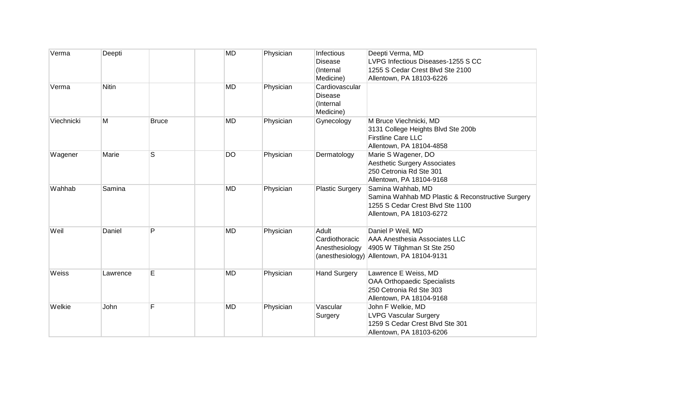| Verma      | Deepti       |              | <b>MD</b> | Physician | Infectious<br>Disease  | Deepti Verma, MD<br>LVPG Infectious Diseases-1255 S CC |
|------------|--------------|--------------|-----------|-----------|------------------------|--------------------------------------------------------|
|            |              |              |           |           | (Internal              | 1255 S Cedar Crest Blvd Ste 2100                       |
|            |              |              |           |           | Medicine)              | Allentown, PA 18103-6226                               |
| Verma      | <b>Nitin</b> |              | <b>MD</b> | Physician | Cardiovascular         |                                                        |
|            |              |              |           |           | Disease                |                                                        |
|            |              |              |           |           | (Internal              |                                                        |
|            |              |              |           |           | Medicine)              |                                                        |
| Viechnicki | M            | <b>Bruce</b> | <b>MD</b> | Physician | Gynecology             | M Bruce Viechnicki, MD                                 |
|            |              |              |           |           |                        | 3131 College Heights Blvd Ste 200b                     |
|            |              |              |           |           |                        | <b>Firstline Care LLC</b>                              |
|            |              |              |           |           |                        | Allentown, PA 18104-4858                               |
|            | Marie        | S            | <b>DO</b> | Physician | Dermatology            | Marie S Wagener, DO                                    |
| Wagener    |              |              |           |           |                        | <b>Aesthetic Surgery Associates</b>                    |
|            |              |              |           |           |                        | 250 Cetronia Rd Ste 301                                |
|            |              |              |           |           |                        | Allentown, PA 18104-9168                               |
| Wahhab     | Samina       |              | <b>MD</b> | Physician | <b>Plastic Surgery</b> | Samina Wahhab, MD                                      |
|            |              |              |           |           |                        | Samina Wahhab MD Plastic & Reconstructive Surgery      |
|            |              |              |           |           |                        | 1255 S Cedar Crest Blvd Ste 1100                       |
|            |              |              |           |           |                        | Allentown, PA 18103-6272                               |
|            |              |              |           |           |                        |                                                        |
| Weil       | Daniel       | P            | MD        | Physician | Adult                  | Daniel P Weil, MD                                      |
|            |              |              |           |           | Cardiothoracic         | <b>AAA Anesthesia Associates LLC</b>                   |
|            |              |              |           |           | Anesthesiology         | 4905 W Tilghman St Ste 250                             |
|            |              |              |           |           |                        | (anesthesiology) Allentown, PA 18104-9131              |
|            |              |              |           |           |                        |                                                        |
| Weiss      | Lawrence     | E            | MD        | Physician | <b>Hand Surgery</b>    | Lawrence E Weiss, MD                                   |
|            |              |              |           |           |                        | <b>OAA Orthopaedic Specialists</b>                     |
|            |              |              |           |           |                        | 250 Cetronia Rd Ste 303                                |
|            |              |              |           |           |                        | Allentown, PA 18104-9168                               |
| Welkie     | John         | F            | <b>MD</b> | Physician | Vascular               | John F Welkie, MD                                      |
|            |              |              |           |           | Surgery                | <b>LVPG Vascular Surgery</b>                           |
|            |              |              |           |           |                        | 1259 S Cedar Crest Blvd Ste 301                        |
|            |              |              |           |           |                        | Allentown, PA 18103-6206                               |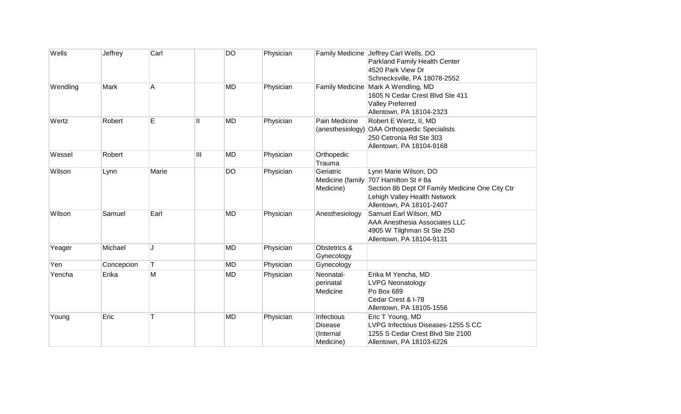| Wells    | Jeffrey    | Carl  |    | <b>DO</b> | Physician |                                                        | Family Medicine Jeffrey Carl Wells, DO<br>Parkland Family Health Center<br>4520 Park View Dr<br>Schnecksville, PA 18078-2552                                 |
|----------|------------|-------|----|-----------|-----------|--------------------------------------------------------|--------------------------------------------------------------------------------------------------------------------------------------------------------------|
| Wendling | Mark       | A     |    | <b>MD</b> | Physician |                                                        | Family Medicine   Mark A Wendling, MD<br>1605 N Cedar Crest Blvd Ste 411<br><b>Valley Preferred</b><br>Allentown, PA 18104-2323                              |
| Wertz    | Robert     | E     | II | <b>MD</b> | Physician | Pain Medicine<br>(anesthesiology)                      | Robert E Wertz, II, MD<br>OAA Orthopaedic Specialists<br>250 Cetronia Rd Ste 303<br>Allentown, PA 18104-9168                                                 |
| Wessel   | Robert     |       | Ш  | <b>MD</b> | Physician | Orthopedic<br>Trauma                                   |                                                                                                                                                              |
| Wilson   | Lynn       | Marie |    | <b>DO</b> | Physician | Geriatric<br>Medicine (family<br>Medicine)             | Lynn Marie Wilson, DO<br>707 Hamilton St # 8a<br>Section 8b Dept Of Family Medicine One City Ctr<br>Lehigh Valley Health Network<br>Allentown, PA 18101-2407 |
| Wilson   | Samuel     | Earl  |    | <b>MD</b> | Physician | Anesthesiology                                         | Samuel Earl Wilson, MD<br><b>AAA Anesthesia Associates LLC</b><br>4905 W Tilghman St Ste 250<br>Allentown, PA 18104-9131                                     |
| Yeager   | Michael    | J.    |    | <b>MD</b> | Physician | Obstetrics &<br>Gynecology                             |                                                                                                                                                              |
| Yen      | Concepcion | T     |    | <b>MD</b> | Physician | Gynecology                                             |                                                                                                                                                              |
| Yencha   | Erika      | M     |    | <b>MD</b> | Physician | Neonatal-<br>perinatal<br>Medicine                     | Erika M Yencha, MD<br><b>LVPG Neonatology</b><br>Po Box 689<br>Cedar Crest & I-78<br>Allentown, PA 18105-1556                                                |
| Young    | Eric       | т     |    | <b>MD</b> | Physician | Infectious<br><b>Disease</b><br>(Internal<br>Medicine) | Eric T Young, MD<br>LVPG Infectious Diseases-1255 S CC<br>1255 S Cedar Crest Blvd Ste 2100<br>Allentown, PA 18103-6226                                       |